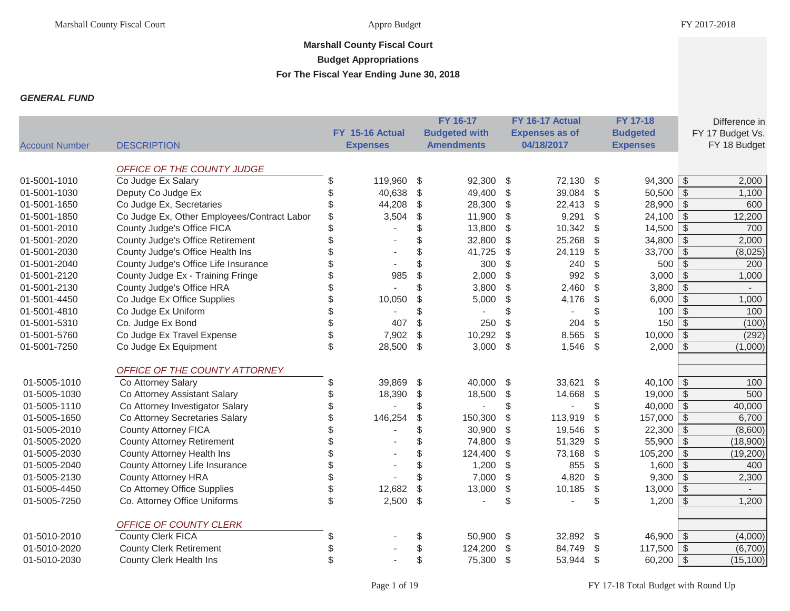## **Marshall County Fiscal Court Budget Appropriations**

**For The Fiscal Year Ending June 30, 2018**

## *GENERAL FUND*

|                       |                                             |    |                 |                         | FY 16-17             | FY 16-17 Actual       |               | FY 17-18          |                          | Difference in    |
|-----------------------|---------------------------------------------|----|-----------------|-------------------------|----------------------|-----------------------|---------------|-------------------|--------------------------|------------------|
|                       |                                             |    | FY 15-16 Actual |                         | <b>Budgeted with</b> | <b>Expenses as of</b> |               | <b>Budgeted</b>   |                          | FY 17 Budget Vs. |
| <b>Account Number</b> | <b>DESCRIPTION</b>                          |    | <b>Expenses</b> |                         | <b>Amendments</b>    | 04/18/2017            |               | <b>Expenses</b>   |                          | FY 18 Budget     |
|                       | OFFICE OF THE COUNTY JUDGE                  |    |                 |                         |                      |                       |               |                   |                          |                  |
| 01-5001-1010          | Co Judge Ex Salary                          |    | 119,960 \$      |                         | 92,300 \$            | 72,130 \$             |               | $94,300$ \$       |                          | 2,000            |
| 01-5001-1030          | Deputy Co Judge Ex                          |    | 40,638          | \$                      | 49,400               | \$<br>39,084          | $\$\$         | $50,500$ \$       |                          | 1,100            |
| 01-5001-1650          | Co Judge Ex, Secretaries                    |    | 44,208          | \$                      | 28,300               | \$<br>22,413          | $\frac{1}{2}$ | $28,900$ \$       |                          | 600              |
| 01-5001-1850          | Co Judge Ex, Other Employees/Contract Labor | \$ | 3,504           | \$                      | 11,900               | \$<br>9,291           | \$            | $24,100$ \$       |                          | 12,200           |
| 01-5001-2010          | County Judge's Office FICA                  |    |                 | \$                      | 13,800               | \$<br>10,342          | \$            | $14,500$ \$       |                          | 700              |
| 01-5001-2020          | County Judge's Office Retirement            |    |                 | \$                      | 32,800               | \$<br>25,268          | $\$\$         | 34,800 $\sqrt{5}$ |                          | 2,000            |
| 01-5001-2030          | County Judge's Office Health Ins            |    |                 | \$                      | 41,725               | \$<br>24,119          | \$            | $33,700$ \$       |                          | (8,025)          |
| 01-5001-2040          | County Judge's Office Life Insurance        |    |                 | \$                      | 300                  | \$<br>240             | \$            | 500               | $\mathfrak{S}$           | 200              |
| 01-5001-2120          | County Judge Ex - Training Fringe           |    | 985             | \$                      | 2,000                | \$<br>992             | \$            | 3,000             | $\overline{\mathcal{S}}$ | 1,000            |
| 01-5001-2130          | County Judge's Office HRA                   | \$ |                 | \$                      | 3,800                | \$<br>2,460           | \$            | $3,800$ \$        |                          | $\sim$           |
| 01-5001-4450          | Co Judge Ex Office Supplies                 | \$ | 10,050          | \$                      | 5,000                | \$<br>4,176           | \$            | $6,000$ \$        |                          | 1,000            |
| 01-5001-4810          | Co Judge Ex Uniform                         |    |                 | \$                      |                      | \$                    | \$            | 100               | $\sqrt{s}$               | 100              |
| 01-5001-5310          | Co. Judge Ex Bond                           |    | 407             | \$                      | 250                  | \$<br>204             | \$            | 150               | $\overline{\mathcal{S}}$ | (100)            |
| 01-5001-5760          | Co Judge Ex Travel Expense                  | \$ | 7,902           | \$                      | 10,292               | \$<br>8,565           | \$            | 10,000            | $\sqrt[6]{\frac{1}{2}}$  | (292)            |
| 01-5001-7250          | Co Judge Ex Equipment                       | \$ | 28,500          | $\sqrt[6]{\frac{1}{2}}$ | 3,000                | \$<br>1,546           | \$            | 2,000             | \$                       | (1,000)          |
|                       | OFFICE OF THE COUNTY ATTORNEY               |    |                 |                         |                      |                       |               |                   |                          |                  |
| 01-5005-1010          | Co Attorney Salary                          | \$ | 39,869          | \$                      | 40,000               | \$<br>33,621          | \$            | $40,100$ \ \$     |                          | 100              |
| 01-5005-1030          | Co Attorney Assistant Salary                |    | 18,390          | \$                      | 18,500               | \$<br>14,668          | \$            | $19,000$ \$       |                          | 500              |
| 01-5005-1110          | Co Attorney Investigator Salary             |    |                 | \$                      |                      | \$                    | \$            | $40,000$ \$       |                          | 40,000           |
| 01-5005-1650          | Co Attorney Secretaries Salary              | \$ | 146,254         | \$                      | 150,300              | \$<br>113,919         | \$            | $157,000$ \$      |                          | 6,700            |
| 01-5005-2010          | <b>County Attorney FICA</b>                 | S  |                 | \$                      | 30,900               | \$<br>19,546          | $\mathcal{L}$ | $22,300$ \$       |                          | (8,600)          |
| 01-5005-2020          | <b>County Attorney Retirement</b>           | \$ |                 | \$                      | 74,800               | \$<br>51,329          | $\frac{1}{2}$ | $55,900$ \$       |                          | (18,900)         |
| 01-5005-2030          | County Attorney Health Ins                  | \$ |                 | \$                      | 124,400              | \$<br>73,168          | \$            | $105,200$ \$      |                          | (19,200)         |
| 01-5005-2040          | County Attorney Life Insurance              | \$ |                 | \$                      | 1,200                | \$<br>855             | \$            | $1,600$ \$        |                          | 400              |
| 01-5005-2130          | <b>County Attorney HRA</b>                  | \$ |                 | \$                      | 7,000                | \$<br>4,820           | \$            | $9,300$ \$        |                          | 2,300            |
| 01-5005-4450          | Co Attorney Office Supplies                 | \$ | 12,682          | \$                      | 13,000               | \$<br>10,185          | \$            | $13,000$ \$       |                          |                  |
| 01-5005-7250          | Co. Attorney Office Uniforms                | \$ | 2,500           | $\sqrt[6]{\frac{1}{2}}$ |                      | \$                    | \$            | 1,200             | $\sqrt[6]{\frac{1}{2}}$  | 1,200            |
|                       | OFFICE OF COUNTY CLERK                      |    |                 |                         |                      |                       |               |                   |                          |                  |
| 01-5010-2010          | <b>County Clerk FICA</b>                    | S  |                 | \$                      | 50,900 \$            | 32,892 \$             |               | $46,900$ \ \$     |                          | (4,000)          |
| 01-5010-2020          | <b>County Clerk Retirement</b>              |    |                 | \$                      | 124,200              | \$<br>84,749          | \$            | $117,500$ \$      |                          | (6,700)          |
| 01-5010-2030          | <b>County Clerk Health Ins</b>              | \$ |                 | \$                      | 75,300 \$            | 53,944                | -\$           | $60,200$ \$       |                          | (15, 100)        |
|                       |                                             |    |                 |                         |                      |                       |               |                   |                          |                  |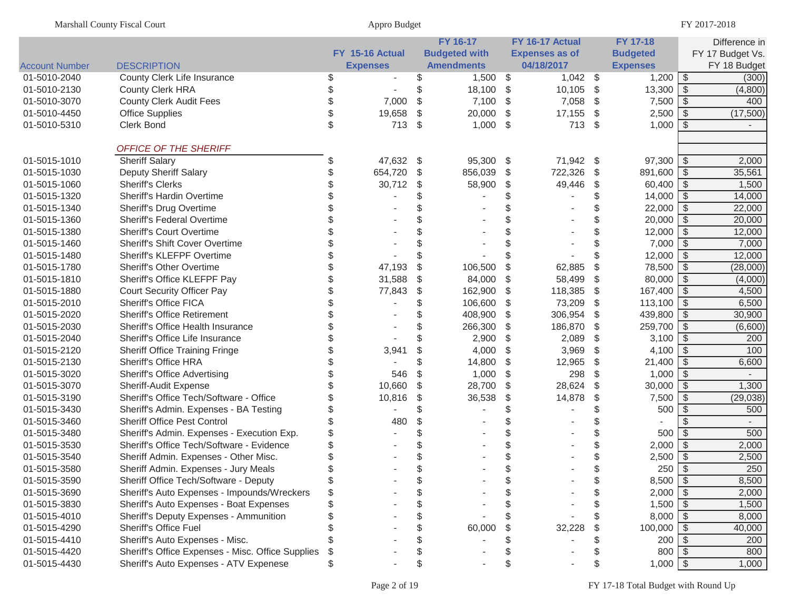|                       | <b>Marshall County Fiscal Court</b>               |    | Appro Budget    |     |                      |                       |               |                    |                         | FY 2017-2018     |
|-----------------------|---------------------------------------------------|----|-----------------|-----|----------------------|-----------------------|---------------|--------------------|-------------------------|------------------|
|                       |                                                   |    |                 |     | <b>FY 16-17</b>      | FY 16-17 Actual       |               | FY 17-18           |                         | Difference in    |
|                       |                                                   |    | FY 15-16 Actual |     | <b>Budgeted with</b> | <b>Expenses as of</b> |               | <b>Budgeted</b>    |                         | FY 17 Budget Vs. |
| <b>Account Number</b> | <b>DESCRIPTION</b>                                |    | <b>Expenses</b> |     | <b>Amendments</b>    | 04/18/2017            |               | <b>Expenses</b>    |                         | FY 18 Budget     |
| 01-5010-2040          | County Clerk Life Insurance                       | S  |                 |     | $1,500$ \$           | $1,042$ \$            |               | $1,200$ \$         |                         | (300)            |
| 01-5010-2130          | <b>County Clerk HRA</b>                           | ß. |                 | \$  | 18,100 \$            | $10,105$ \$           |               | 13,300 $\sqrt{5}$  |                         | (4,800)          |
| 01-5010-3070          | <b>County Clerk Audit Fees</b>                    | ß. | 7,000           | \$  | $7,100$ \$           | 7,058                 | \$            | $7,500$ \$         |                         | 400              |
| 01-5010-4450          | <b>Office Supplies</b>                            | \$ | 19,658          | \$  | 20,000               | \$<br>17,155          | \$            | 2,500              | -\$                     | (17,500)         |
| 01-5010-5310          | Clerk Bond                                        | \$ | 713             | -\$ | $1,000$ \$           | 713 \$                |               | 1,000              | -\$                     |                  |
|                       | OFFICE OF THE SHERIFF                             |    |                 |     |                      |                       |               |                    |                         |                  |
| 01-5015-1010          | <b>Sheriff Salary</b>                             | \$ | 47,632 \$       |     | 95,300 \$            | 71,942 \$             |               | 97,300             | -\$                     | 2,000            |
| 01-5015-1030          | Deputy Sheriff Salary                             |    | 654,720         | \$  | 856,039              | \$<br>722,326         | \$            | 891,600   \$       |                         | 35,561           |
| 01-5015-1060          | <b>Sheriff's Clerks</b>                           |    | 30,712          | \$  | 58,900               | \$<br>49,446          | \$            | $60,400$ \$        |                         | 1,500            |
| 01-5015-1320          | Sheriff's Hardin Overtime                         |    |                 | \$  |                      |                       | \$            | $14,000$ \ \$      |                         | 14,000           |
| 01-5015-1340          | Sheriff's Drug Overtime                           |    |                 | \$  |                      |                       | \$            | $22,000$ \$        |                         | 22,000           |
| 01-5015-1360          | Sheriff's Federal Overtime                        |    |                 | \$  |                      |                       | \$            | $20,000$ \$        |                         | 20,000           |
| 01-5015-1380          | <b>Sheriff's Court Overtime</b>                   |    |                 | \$  |                      |                       | \$            | $12,000$ \$        |                         | 12,000           |
| 01-5015-1460          | Sheriff's Shift Cover Overtime                    |    |                 | \$  |                      |                       | \$            | $7,000$ \ \$       |                         | 7,000            |
| 01-5015-1480          | Sheriff's KLEFPF Overtime                         | S  |                 | \$  |                      |                       | \$            | $12,000$ \$        |                         | 12,000           |
| 01-5015-1780          | <b>Sheriff's Other Overtime</b>                   | S  | 47,193          | \$  | 106,500              | \$<br>62,885          | \$            | 78,500 \$          |                         | (28,000)         |
| 01-5015-1810          | Sheriff's Office KLEFPF Pay                       | S  | 31,588          | \$  | 84,000               | \$<br>58,499          | \$            | $80,000$ \$        |                         | (4,000)          |
| 01-5015-1880          | <b>Court Security Officer Pay</b>                 |    | 77,843          | \$  | 162,900              | \$<br>118,385         | \$            | $167,400$ \$       |                         | 4,500            |
| 01-5015-2010          | Sheriff's Office FICA                             |    |                 | \$  | 106,600              | \$<br>73,209          | \$            | $113,100$ \$       |                         | 6,500            |
| 01-5015-2020          | <b>Sheriff's Office Retirement</b>                |    |                 | \$  | 408,900              | \$<br>306,954         | \$            | 439,800 $\sqrt{$}$ |                         | 30,900           |
| 01-5015-2030          | Sheriff's Office Health Insurance                 |    |                 | \$  | 266,300              | \$<br>186,870         | \$            | $259,700$ \$       |                         | (6,600)          |
| 01-5015-2040          | Sheriff's Office Life Insurance                   |    |                 | \$  | 2,900                | \$<br>2,089           | \$            | $3,100$ \$         |                         | 200              |
| 01-5015-2120          | Sheriff Office Training Fringe                    |    | 3,941           | \$  | 4,000                | \$<br>3,969           | \$            | 4,100 $\sqrt{$}$   |                         | 100              |
| 01-5015-2130          | Sheriff's Office HRA                              |    |                 |     | 14,800               | \$<br>12,965          | $\frac{1}{2}$ | 21,400             | \$                      | 6,600            |
| 01-5015-3020          | <b>Sheriff's Office Advertising</b>               |    | 546             | \$  | 1,000                | \$<br>298             | \$            | 1,000              | $\sqrt[6]{\frac{1}{2}}$ |                  |
| 01-5015-3070          | Sheriff-Audit Expense                             |    | 10,660          | \$  | 28,700               | \$<br>28,624          | $\frac{1}{2}$ | 30,000             | \$                      | 1,300            |
| 01-5015-3190          | Sheriff's Office Tech/Software - Office           |    | 10,816          | \$  | 36,538               | \$<br>14,878          | \$            | 7,500              | $\sqrt[6]{\frac{1}{2}}$ | (29, 038)        |
| 01-5015-3430          | Sheriff's Admin. Expenses - BA Testing            |    |                 | \$  |                      |                       | \$            | 500                | $\sqrt[6]{\frac{1}{2}}$ | 500              |
| 01-5015-3460          | Sheriff Office Pest Control                       |    | 480             | \$  |                      |                       |               |                    |                         |                  |
| 01-5015-3480          | Sheriff's Admin. Expenses - Execution Exp.        |    |                 | \$  |                      |                       |               | 500                | \$                      | 500              |
| 01-5015-3530          | Sheriff's Office Tech/Software - Evidence         |    |                 |     |                      |                       |               | $2,000$ \$         |                         | 2,000            |
| 01-5015-3540          | Sheriff Admin. Expenses - Other Misc.             |    |                 |     |                      |                       | \$            | 2,500              | -\$                     | 2,500            |
| 01-5015-3580          | Sheriff Admin. Expenses - Jury Meals              |    |                 |     |                      |                       |               | $250$ \$           |                         | 250              |
| 01-5015-3590          | Sheriff Office Tech/Software - Deputy             |    |                 |     |                      |                       |               | $8,500$ \$         |                         | 8,500            |
| 01-5015-3690          | Sheriff's Auto Expenses - Impounds/Wreckers       |    |                 |     |                      |                       |               | $2,000$ \ \$       |                         | 2,000            |
| 01-5015-3830          | Sheriff's Auto Expenses - Boat Expenses           |    |                 | \$  |                      |                       |               | $1,500$ \$         |                         | 1,500            |
| 01-5015-4010          | Sheriff's Deputy Expenses - Ammunition            |    |                 | \$  |                      |                       |               | $8,000$ \ \$       |                         | 8,000            |
| 01-5015-4290          | <b>Sheriff's Office Fuel</b>                      |    |                 | \$  | 60,000               | 32,228                | \$            | $100,000$ \$       |                         | 40,000           |
| 01-5015-4410          | Sheriff's Auto Expenses - Misc.                   |    |                 | \$  |                      |                       |               | 200                | - \$                    | 200              |
| 01-5015-4420          | Sheriff's Office Expenses - Misc. Office Supplies | \$ |                 | \$  |                      |                       |               | $800$   \$         |                         | 800              |
| 01-5015-4430          | Sheriff's Auto Expenses - ATV Expenese            |    |                 | \$  |                      |                       |               | $1,000$ \$         |                         | 1,000            |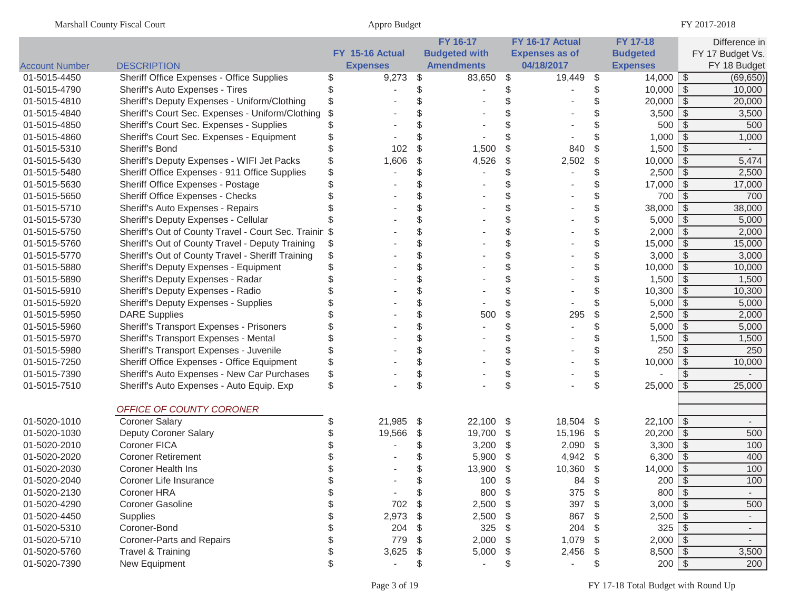|                       |                                                        |                 |          | FY 16-17             |     | FY 16-17 Actual       |                           | <b>FY 17-18</b>              |               | Difference in                   |
|-----------------------|--------------------------------------------------------|-----------------|----------|----------------------|-----|-----------------------|---------------------------|------------------------------|---------------|---------------------------------|
|                       |                                                        | FY 15-16 Actual |          | <b>Budgeted with</b> |     | <b>Expenses as of</b> |                           | <b>Budgeted</b>              |               | FY 17 Budget Vs.                |
| <b>Account Number</b> | <b>DESCRIPTION</b>                                     | <b>Expenses</b> |          | <b>Amendments</b>    |     | 04/18/2017            |                           | <b>Expenses</b>              |               | FY 18 Budget                    |
| 01-5015-4450          | Sheriff Office Expenses - Office Supplies              | \$<br>9,273     | \$       | 83,650               | \$  | 19,449                | \$                        | $14,000$ \$                  |               | (69, 650)                       |
| 01-5015-4790          | Sheriff's Auto Expenses - Tires                        |                 | \$       |                      | \$  |                       |                           | $10,000$ \$                  |               | 10,000                          |
| 01-5015-4810          | Sheriff's Deputy Expenses - Uniform/Clothing           |                 |          |                      |     |                       |                           | $20,000$ \$                  |               | 20,000                          |
| 01-5015-4840          | Sheriff's Court Sec. Expenses - Uniform/Clothing       |                 |          |                      |     |                       |                           | $3,500$ \$                   |               | 3,500                           |
| 01-5015-4850          | Sheriff's Court Sec. Expenses - Supplies               |                 |          |                      |     |                       |                           | 500                          | $\sqrt{3}$    | 500                             |
| 01-5015-4860          | Sheriff's Court Sec. Expenses - Equipment              |                 |          |                      |     |                       |                           | 1,000                        | $\sqrt[6]{3}$ | 1,000                           |
| 01-5015-5310          | Sheriff's Bond                                         | 102             | \$       | 1,500                | \$  | 840                   | \$                        | $1,500$ \$                   |               |                                 |
| 01-5015-5430          | Sheriff's Deputy Expenses - WIFI Jet Packs             | 1,606           | \$       | 4,526                | \$  | 2,502                 | \$                        | $10,000$ \$                  |               | 5,474                           |
| 01-5015-5480          | Sheriff Office Expenses - 911 Office Supplies          |                 | \$       |                      | \$  |                       | \$                        | $2,500$ \$                   |               | 2,500                           |
| 01-5015-5630          | Sheriff Office Expenses - Postage                      |                 |          |                      |     |                       |                           | $17,000$ \$                  |               | 17,000                          |
| 01-5015-5650          | Sheriff Office Expenses - Checks                       |                 | \$       |                      |     |                       |                           | 700                          | \$            | 700                             |
| 01-5015-5710          | Sheriff's Auto Expenses - Repairs                      |                 | \$       |                      |     |                       |                           | 38,000                       | -\$           | 38,000                          |
| 01-5015-5730          | Sheriff's Deputy Expenses - Cellular                   |                 | \$       |                      |     |                       |                           | $5,000$ \ \$                 |               | 5,000                           |
| 01-5015-5750          | Sheriff's Out of County Travel - Court Sec. Trainir \$ |                 | \$       |                      | \$  |                       | \$                        | $2,000$ \ \$                 |               | 2,000                           |
| 01-5015-5760          | Sheriff's Out of County Travel - Deputy Training       |                 | \$       |                      | \$  |                       | \$                        | $15,000$ \$                  |               | 15,000                          |
| 01-5015-5770          | Sheriff's Out of County Travel - Sheriff Training      |                 | \$       |                      | \$  |                       | \$                        | $3,000$ \$                   |               | 3,000                           |
| 01-5015-5880          | Sheriff's Deputy Expenses - Equipment                  |                 | \$       |                      | \$  |                       | \$                        | $10,000$ \$                  |               | 10,000                          |
| 01-5015-5890          | Sheriff's Deputy Expenses - Radar                      |                 | \$       |                      | \$  |                       | \$                        |                              |               | 1,500                           |
| 01-5015-5910          | Sheriff's Deputy Expenses - Radio                      |                 | \$       |                      |     |                       |                           | $10,300$ \$                  |               | 10,300                          |
| 01-5015-5920          | <b>Sheriff's Deputy Expenses - Supplies</b>            |                 | \$       |                      |     |                       |                           | $5,000$ \$                   |               | 5,000                           |
| 01-5015-5950          | <b>DARE Supplies</b>                                   |                 | \$       | 500                  | \$  | 295                   | \$                        | $2,500$   \$                 |               | 2,000                           |
| 01-5015-5960          | Sheriff's Transport Expenses - Prisoners               |                 | \$       |                      | \$  |                       |                           | $5,000$ \ \$                 |               | 5,000                           |
| 01-5015-5970          | Sheriff's Transport Expenses - Mental                  |                 | \$       |                      | \$  |                       |                           | $1,500$ \ \$                 |               | 1,500                           |
| 01-5015-5980          | Sheriff's Transport Expenses - Juvenile                |                 | \$       |                      |     |                       |                           |                              |               | 250                             |
| 01-5015-7250          | Sheriff Office Expenses - Office Equipment             |                 | \$       |                      |     |                       | \$                        | 10,000                       | -\$           | 10,000                          |
| 01-5015-7390          | Sheriff's Auto Expenses - New Car Purchases            |                 | \$       |                      |     |                       | \$                        |                              | \$            |                                 |
| 01-5015-7510          | Sheriff's Auto Expenses - Auto Equip. Exp              |                 | \$       |                      | \$  |                       | \$                        | $25,000$ \$                  |               | 25,000                          |
|                       |                                                        |                 |          |                      |     |                       |                           |                              |               |                                 |
|                       | OFFICE OF COUNTY CORONER                               |                 |          |                      |     |                       |                           |                              |               |                                 |
| 01-5020-1010          | <b>Coroner Salary</b>                                  | 21,985          | \$       | 22,100               | -\$ | 18,504 \$             |                           | $22,100$ \ \$<br>$20,200$ \$ |               | $\overline{\phantom{a}}$<br>500 |
| 01-5020-1030          | Deputy Coroner Salary<br><b>Coroner FICA</b>           | 19,566          | \$<br>\$ | 19,700               | \$  | 15,196                | \$                        |                              |               |                                 |
| 01-5020-2010          | <b>Coroner Retirement</b>                              |                 |          | 3,200                | \$  | 2,090                 | $\boldsymbol{\mathsf{S}}$ | $3,300$ \$                   |               | 100<br>400                      |
| 01-5020-2020          | <b>Coroner Health Ins</b>                              |                 |          | 5,900                | \$  | 4,942                 | -\$                       | $6,300$ \ \$                 |               | 100                             |
| 01-5020-2030          |                                                        |                 |          | 13,900               | \$  | 10,360                |                           | 14,000                       | \$            | 100                             |
| 01-5020-2040          | Coroner Life Insurance                                 |                 |          | 100                  | \$  | 84                    | \$                        | $200$   \$                   |               |                                 |
| 01-5020-2130          | Coroner HRA                                            |                 | \$       | 800                  | \$  | 375                   | -\$                       |                              |               | $\overline{\phantom{a}}$        |
| 01-5020-4290          | Coroner Gasoline                                       | 702             | \$       | 2,500                | \$  | 397                   | - \$                      | $3,000$ \$                   |               | 500                             |
| 01-5020-4450          | Supplies                                               | 2,973           | - \$     | 2,500                | \$  | 867                   | -\$                       | $2,500$ \$                   |               | $\overline{\phantom{a}}$        |
| 01-5020-5310          | Coroner-Bond                                           | 204             | S        | 325                  | \$  | 204                   | \$                        |                              |               | $\overline{\phantom{a}}$        |
| 01-5020-5710          | Coroner-Parts and Repairs                              | 779             |          | 2,000                | \$  | 1,079                 | -\$                       | $2,000$ \$                   |               | $\overline{\phantom{a}}$        |
| 01-5020-5760          | Travel & Training                                      | 3,625           | \$       | 5,000                | \$  | 2,456                 | \$                        | $8,500$ \$                   |               | 3,500                           |
| 01-5020-7390          | New Equipment                                          |                 | \$       | $\blacksquare$       | \$  |                       | \$                        | $200$ \$                     |               | 200                             |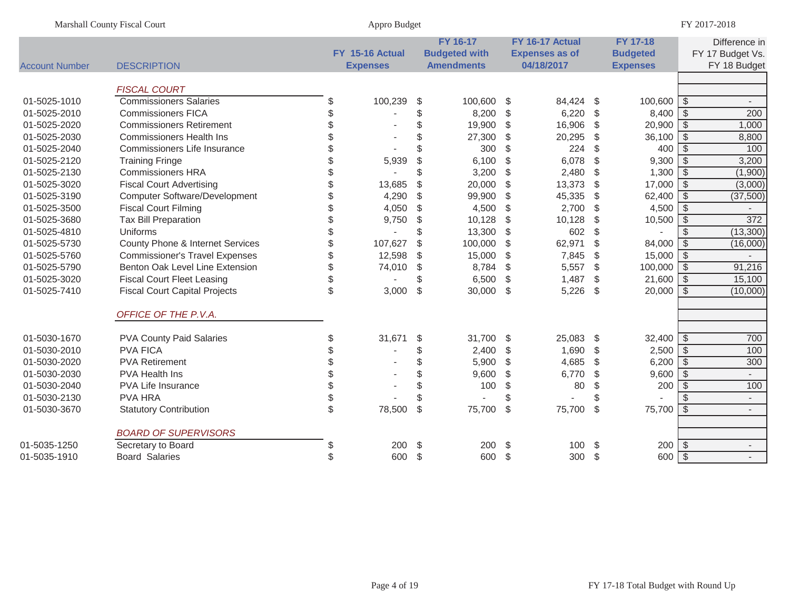|                       | Marshall County Fiscal Court          | Appro Budget    |                         |                      |                         |                       |                |                 |                          | FY 2017-2018     |
|-----------------------|---------------------------------------|-----------------|-------------------------|----------------------|-------------------------|-----------------------|----------------|-----------------|--------------------------|------------------|
|                       |                                       |                 |                         | FY 16-17             |                         | FY 16-17 Actual       |                | <b>FY 17-18</b> |                          | Difference in    |
|                       |                                       | FY 15-16 Actual |                         | <b>Budgeted with</b> |                         | <b>Expenses as of</b> |                | <b>Budgeted</b> |                          | FY 17 Budget Vs. |
| <b>Account Number</b> | <b>DESCRIPTION</b>                    | <b>Expenses</b> |                         | <b>Amendments</b>    |                         | 04/18/2017            |                | <b>Expenses</b> |                          | FY 18 Budget     |
|                       | <b>FISCAL COURT</b>                   |                 |                         |                      |                         |                       |                |                 |                          |                  |
| 01-5025-1010          | <b>Commissioners Salaries</b>         | \$<br>100,239   | \$                      | 100,600 \$           |                         | 84,424                | -\$            | $100,600$ \$    |                          |                  |
| 01-5025-2010          | <b>Commissioners FICA</b>             | \$              | \$                      | 8,200                | $\sqrt{2}$              | 6,220                 | \$             |                 |                          | 200              |
| 01-5025-2020          | <b>Commissioners Retirement</b>       | \$              | \$                      | 19,900               | $\sqrt[6]{\frac{1}{2}}$ | 16,906                | \$             | 20,900          | $\sqrt{s}$               | 1,000            |
| 01-5025-2030          | <b>Commissioners Health Ins</b>       | \$              | \$                      | 27,300               | $\sqrt[6]{\frac{1}{2}}$ | 20,295                | \$             | 36,100          | $\overline{\mathcal{S}}$ | 8,800            |
| 01-5025-2040          | Commissioners Life Insurance          | \$              |                         | 300                  | $\mathbb{S}$            | 224                   | \$             | 400             | $\overline{\mathcal{S}}$ | 100              |
| 01-5025-2120          | <b>Training Fringe</b>                | \$<br>5,939     | \$                      | 6,100                | $\sqrt[6]{\frac{1}{2}}$ | 6,078                 | \$             | 9,300           | $\sqrt{3}$               | 3,200            |
| 01-5025-2130          | <b>Commissioners HRA</b>              | \$              | \$                      | 3,200                | $\sqrt[6]{\frac{1}{2}}$ | 2,480                 | \$             | 1,300           | $\overline{\mathcal{S}}$ | (1,900)          |
| 01-5025-3020          | <b>Fiscal Court Advertising</b>       | \$<br>13,685    | \$                      | 20,000               | $\sqrt[6]{\frac{1}{2}}$ | 13,373                | \$             | 17,000          | $\overline{\mathcal{S}}$ | (3,000)          |
| 01-5025-3190          | <b>Computer Software/Development</b>  | \$<br>4,290     | \$                      | 99,900               | $\sqrt[6]{\frac{1}{2}}$ | 45,335                | \$             | 62,400          | $\overline{\$}$          | (37,500)         |
| 01-5025-3500          | <b>Fiscal Court Filming</b>           | \$<br>4,050     | \$                      | 4,500                | $\sqrt[6]{\frac{1}{2}}$ | 2,700                 | \$             | 4,500           | $\overline{\mathcal{S}}$ |                  |
| 01-5025-3680          | <b>Tax Bill Preparation</b>           | \$<br>9,750     | \$                      | 10,128               | $\sqrt[6]{\frac{1}{2}}$ | 10,128                | \$             | 10,500          | $\overline{\mathcal{S}}$ | $\frac{1}{372}$  |
| 01-5025-4810          | Uniforms                              | \$              | \$                      | 13,300               | $\sqrt[6]{\frac{1}{2}}$ | 602                   | \$             |                 | $\overline{\mathcal{S}}$ | (13,300)         |
| 01-5025-5730          | County Phone & Internet Services      | \$<br>107,627   | \$                      | 100,000              | \$                      | 62,971                | \$             | 84,000          | $\sqrt[6]{\frac{1}{2}}$  | (16,000)         |
| 01-5025-5760          | <b>Commissioner's Travel Expenses</b> | \$<br>12,598    | $\mathcal{S}$           | 15,000               | $\sqrt[6]{\frac{1}{2}}$ | 7,845                 | \$             | 15,000          | $\overline{\mathcal{S}}$ |                  |
| 01-5025-5790          | Benton Oak Level Line Extension       | \$<br>74,010    | $\sqrt[6]{\frac{1}{2}}$ | 8,784                | $\sqrt[6]{\frac{1}{2}}$ | 5,557                 | $\sqrt{2}$     | 100,000         | $\overline{\mathcal{S}}$ | 91,216           |
| 01-5025-3020          | <b>Fiscal Court Fleet Leasing</b>     | \$              | \$                      | 6,500                | $\sqrt[6]{\frac{1}{2}}$ | 1,487                 | \$             | 21,600          | $\overline{\mathcal{S}}$ | 15,100           |
| 01-5025-7410          | <b>Fiscal Court Capital Projects</b>  | \$<br>3,000     | $\sqrt[6]{\frac{1}{2}}$ | 30,000               | \$                      | 5,226                 | $\mathfrak{F}$ | 20,000          | $\sqrt[6]{\frac{1}{2}}$  | (10,000)         |
|                       | OFFICE OF THE P.V.A.                  |                 |                         |                      |                         |                       |                |                 |                          |                  |
| 01-5030-1670          | <b>PVA County Paid Salaries</b>       | \$<br>31,671    | \$                      | 31,700               | -\$                     | 25,083                | -\$            | $32,400$ \ \$   |                          | 700              |
| 01-5030-2010          | <b>PVA FICA</b>                       | \$              | \$                      | 2,400                | \$                      | 1,690                 | \$             | 2,500           | $\overline{\$}$          | 100              |
| 01-5030-2020          | <b>PVA Retirement</b>                 | \$              | \$                      | 5,900                | $\mathcal{L}$           | 4,685                 | \$             | 6,200           | $\overline{\mathcal{S}}$ | 300              |
| 01-5030-2030          | <b>PVA Health Ins</b>                 | \$              | \$                      | 9,600                | $\sqrt[6]{3}$           | 6,770                 | \$             | 9,600           | $\overline{\mathcal{S}}$ | $\sim$           |
| 01-5030-2040          | PVA Life Insurance                    | \$              | \$                      | 100                  | \$                      | 80                    | \$             | 200             | $\overline{\$}$          | 100              |
| 01-5030-2130          | <b>PVA HRA</b>                        | \$              | \$                      |                      | \$                      |                       | \$             |                 | $\mathcal{S}$            | $\blacksquare$   |
| 01-5030-3670          | <b>Statutory Contribution</b>         | \$<br>78,500    | $\sqrt[6]{\frac{1}{2}}$ | 75,700               | $\sqrt[6]{\frac{1}{2}}$ | 75,700                | \$             | 75,700          | $\overline{\mathcal{S}}$ | $\blacksquare$   |
|                       | <b>BOARD OF SUPERVISORS</b>           |                 |                         |                      |                         |                       |                |                 |                          |                  |
| 01-5035-1250          | Secretary to Board                    | \$<br>200       | \$                      | 200                  | -\$                     | 100                   | \$             | $200$ \ \$      |                          |                  |
| 01-5035-1910          | <b>Board Salaries</b>                 | \$<br>600       | $\frac{1}{2}$           | 600                  | \$                      | 300                   | \$             | 600             | $\sqrt{3}$               |                  |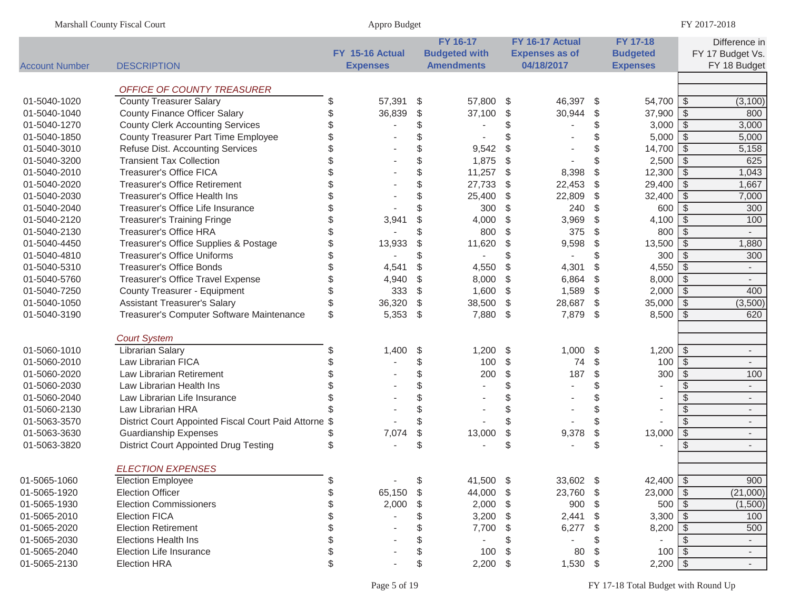| Marshall County Fiscal Court |                                                       | Appro Budget |                 |               |                      |                         |                       |                         | FY 2017-2018    |                         |                           |
|------------------------------|-------------------------------------------------------|--------------|-----------------|---------------|----------------------|-------------------------|-----------------------|-------------------------|-----------------|-------------------------|---------------------------|
|                              |                                                       |              |                 |               | FY 16-17             |                         | FY 16-17 Actual       |                         | FY 17-18        |                         | Difference in             |
|                              |                                                       |              | FY 15-16 Actual |               | <b>Budgeted with</b> |                         | <b>Expenses as of</b> |                         | <b>Budgeted</b> |                         | FY 17 Budget Vs.          |
| <b>Account Number</b>        | <b>DESCRIPTION</b>                                    |              | <b>Expenses</b> |               | <b>Amendments</b>    |                         | 04/18/2017            |                         | <b>Expenses</b> |                         | FY 18 Budget              |
|                              | OFFICE OF COUNTY TREASURER                            |              |                 |               |                      |                         |                       |                         |                 |                         |                           |
| 01-5040-1020                 | <b>County Treasurer Salary</b>                        | \$           | 57,391          | \$            | 57,800 \$            |                         | 46,397                | -\$                     | $54,700$ \ \$   |                         | (3, 100)                  |
| 01-5040-1040                 | <b>County Finance Officer Salary</b>                  | S            | 36,839          | \$            | 37,100               | \$                      | 30,944                | $\frac{1}{2}$           | $37,900$ \$     |                         | 800                       |
| 01-5040-1270                 | <b>County Clerk Accounting Services</b>               |              |                 | \$            |                      | \$                      |                       | \$                      | $3,000$ \$      |                         | 3,000                     |
| 01-5040-1850                 | County Treasurer Part Time Employee                   |              |                 | \$            |                      |                         |                       | \$                      | 5,000           | $\sqrt[6]{3}$           | 5,000                     |
| 01-5040-3010                 | Refuse Dist. Accounting Services                      |              |                 | \$            | 9,542                | $\mathcal{L}$           |                       | \$                      | 14,700          | $\sqrt[6]{3}$           | 5,158                     |
| 01-5040-3200                 | <b>Transient Tax Collection</b>                       |              |                 | \$            | 1,875                | $\frac{1}{2}$           |                       | \$                      | 2,500           | $\sqrt[3]{2}$           | 625                       |
| 01-5040-2010                 | <b>Treasurer's Office FICA</b>                        |              |                 | \$            | 11,257               | $\frac{1}{2}$           | 8,398                 | $\frac{1}{2}$           | 12,300          | $\sqrt[6]{\frac{1}{2}}$ | 1,043                     |
| 01-5040-2020                 | <b>Treasurer's Office Retirement</b>                  |              |                 | \$            | 27,733               | $\frac{1}{2}$           | 22,453                | $\sqrt[6]{\frac{1}{2}}$ | 29,400          | $\sqrt[3]{2}$           | 1,667                     |
| 01-5040-2030                 | Treasurer's Office Health Ins                         | \$           |                 | \$            | 25,400               | \$                      | 22,809                | $\frac{1}{2}$           | 32,400          | $\sqrt[6]{\frac{1}{2}}$ | 7,000                     |
| 01-5040-2040                 | Treasurer's Office Life Insurance                     | \$           |                 | \$            | 300                  | \$                      | 240                   | \$                      | 600             | \$                      | 300                       |
| 01-5040-2120                 | <b>Treasurer's Training Fringe</b>                    | \$           | 3,941           | \$            | 4,000                | \$                      | 3,969                 | $\frac{1}{2}$           | 4,100           | $\sqrt[6]{\frac{1}{2}}$ | 100                       |
| 01-5040-2130                 | <b>Treasurer's Office HRA</b>                         |              |                 | \$            | 800                  | \$                      | 375                   | \$                      | 800             | -\$                     |                           |
| 01-5040-4450                 | Treasurer's Office Supplies & Postage                 |              | 13,933          | \$            | 11,620               | \$                      | 9,598                 | $\frac{1}{2}$           | 13,500          | \$                      | 1,880                     |
| 01-5040-4810                 | <b>Treasurer's Office Uniforms</b>                    |              |                 | \$            |                      | \$                      |                       | \$                      | 300             | \$                      | 300                       |
| 01-5040-5310                 | <b>Treasurer's Office Bonds</b>                       |              | 4,541           | \$            | 4,550                | \$                      | 4,301                 | \$                      | 4,550           | \$                      | $\mathbb{Z}^{\mathbb{Z}}$ |
| 01-5040-5760                 | Treasurer's Office Travel Expense                     |              | 4,940           | \$            | 8,000                | \$                      | 6,864                 | \$                      | 8,000           | \$                      | $\blacksquare$            |
| 01-5040-7250                 | County Treasurer - Equipment                          | \$           | 333             | \$            | 1,600                | $\sqrt[6]{\frac{1}{2}}$ | 1,589                 | \$                      | 2,000           | -\$                     | 400                       |
| 01-5040-1050                 | <b>Assistant Treasurer's Salary</b>                   | \$           | 36,320          | \$            | 38,500               | \$                      | 28,687                | \$                      | 35,000          | -\$                     | (3,500)                   |
| 01-5040-3190                 | Treasurer's Computer Software Maintenance             | \$           | 5,353           | $\frac{1}{2}$ | 7,880                | \$                      | 7,879                 | $\sqrt[6]{\frac{1}{2}}$ | 8,500           | -\$                     | 620                       |
|                              |                                                       |              |                 |               |                      |                         |                       |                         |                 |                         |                           |
|                              | <b>Court System</b>                                   |              |                 |               |                      |                         |                       |                         |                 |                         |                           |
| 01-5060-1010                 | <b>Librarian Salary</b>                               | \$           | 1,400           | \$            | 1,200                | \$                      | 1,000                 | -\$                     | $1,200$ \ \$    |                         | $\overline{\phantom{a}}$  |
| 01-5060-2010                 | Law Librarian FICA                                    |              |                 | \$            | 100                  | \$                      | 74                    | \$                      | 100             | $\sqrt[3]{2}$           | $\blacksquare$            |
| 01-5060-2020                 | Law Librarian Retirement                              |              |                 | \$            | 200                  | \$                      | 187                   | $\frac{1}{2}$           | 300             | \$                      | 100                       |
| 01-5060-2030                 | Law Librarian Health Ins                              |              |                 | \$            |                      | \$                      |                       | \$                      |                 | \$.                     | $\blacksquare$            |
| 01-5060-2040                 | Law Librarian Life Insurance                          |              |                 | \$            |                      | \$                      |                       | \$                      |                 | \$                      | $\blacksquare$            |
| 01-5060-2130                 | Law Librarian HRA                                     |              |                 | \$            |                      |                         |                       | \$                      |                 | $\mathcal{L}$           | $\overline{\phantom{a}}$  |
| 01-5063-3570                 | District Court Appointed Fiscal Court Paid Attorne \$ |              |                 | \$            |                      | \$                      |                       | \$                      |                 | $\mathcal{L}$           | $\overline{\phantom{a}}$  |
| 01-5063-3630                 | <b>Guardianship Expenses</b>                          |              | 7,074           | \$            | 13,000               | \$                      | 9,378                 | \$                      | 13,000          | $\sqrt[6]{\frac{1}{2}}$ | $\overline{\phantom{a}}$  |
| 01-5063-3820                 | <b>District Court Appointed Drug Testing</b>          | \$           |                 | \$            |                      | \$                      |                       | \$                      |                 | \$                      | $\overline{\phantom{a}}$  |
|                              | <b>ELECTION EXPENSES</b>                              |              |                 |               |                      |                         |                       |                         |                 |                         |                           |
| 01-5065-1060                 | <b>Election Employee</b>                              |              |                 |               | 41,500 \$            |                         | 33,602 \$             |                         | $42,400$ \ \$   |                         | 900                       |
| 01-5065-1920                 | <b>Election Officer</b>                               | S            | 65,150          | \$<br>\$      | 44,000 \$            |                         | 23,760                | - \$                    | 23,000          | \$                      | (21,000)                  |
| 01-5065-1930                 | <b>Election Commissioners</b>                         |              | 2,000           | \$            | $2,000$ \$           |                         | 900                   | -\$                     | 500             | -\$                     | (1,500)                   |
| 01-5065-2010                 | <b>Election FICA</b>                                  |              |                 | \$            | 3,200                | \$                      | 2,441                 | \$                      | 3,300           | - \$                    | 100                       |
| 01-5065-2020                 | <b>Election Retirement</b>                            |              |                 | \$            | 7,700                | \$                      | 6,277                 | \$                      | 8,200           | - \$                    | 500                       |
| 01-5065-2030                 | <b>Elections Health Ins</b>                           |              |                 | \$            |                      | S                       |                       | \$                      |                 | S                       | $\overline{\phantom{a}}$  |
| 01-5065-2040                 | Election Life Insurance                               |              |                 | \$            | 100                  | \$                      | 80                    | \$                      | 100             | -\$                     | $\sim$                    |
| 01-5065-2130                 | <b>Election HRA</b>                                   | \$           |                 | \$            | 2,200                | \$                      | 1,530 \$              |                         | $2,200$ \$      |                         | $\sim$                    |
|                              |                                                       |              |                 |               |                      |                         |                       |                         |                 |                         |                           |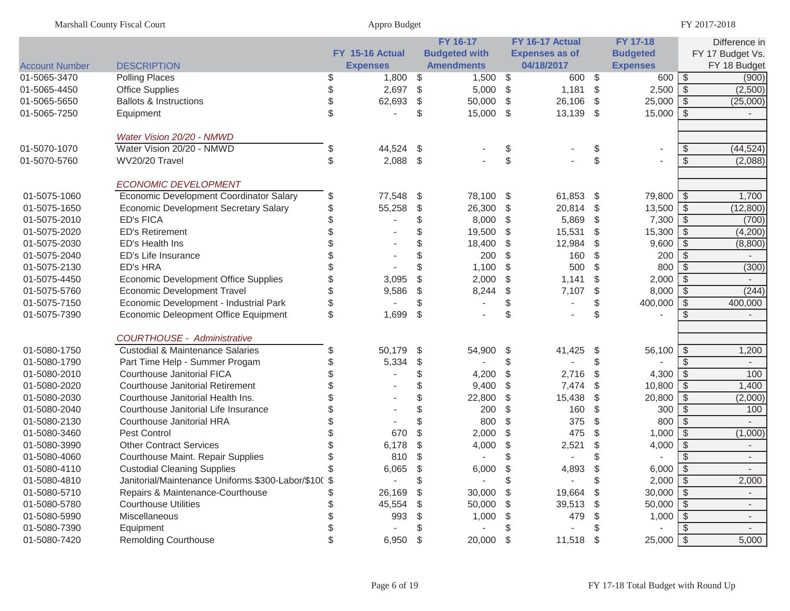|                       | <b>Marshall County Fiscal Court</b>                 |     | Appro Budget    |               |                      |    |                       |      |                          |               | FY 2017-2018             |
|-----------------------|-----------------------------------------------------|-----|-----------------|---------------|----------------------|----|-----------------------|------|--------------------------|---------------|--------------------------|
|                       |                                                     |     |                 |               | <b>FY 16-17</b>      |    | FY 16-17 Actual       |      | <b>FY 17-18</b>          |               | Difference in            |
|                       |                                                     |     | FY 15-16 Actual |               | <b>Budgeted with</b> |    | <b>Expenses as of</b> |      | <b>Budgeted</b>          |               | FY 17 Budget Vs.         |
| <b>Account Number</b> | <b>DESCRIPTION</b>                                  |     | <b>Expenses</b> |               | <b>Amendments</b>    |    | 04/18/2017            |      | <b>Expenses</b>          |               | FY 18 Budget             |
| 01-5065-3470          | <b>Polling Places</b>                               |     | 1,800           | \$            | 1,500                | \$ | 600 \$                |      | $600$   \$               |               | (900)                    |
| 01-5065-4450          | <b>Office Supplies</b>                              |     | 2,697           | $\frac{1}{2}$ | 5,000                | \$ | 1,181                 | \$   | $2,500$   \$             |               | (2,500)                  |
| 01-5065-5650          | <b>Ballots &amp; Instructions</b>                   |     | 62,693          | \$            | 50,000               | \$ | 26,106                | \$   |                          |               | (25,000)                 |
| 01-5065-7250          | Equipment                                           | \$. |                 | \$            | 15,000               | \$ | 13,139 \$             |      | $15,000$ \$              |               |                          |
|                       | Water Vision 20/20 - NMWD                           |     |                 |               |                      |    |                       |      |                          |               |                          |
| 01-5070-1070          | Water Vision 20/20 - NMWD                           | \$  | 44,524          | \$            |                      | \$ |                       | \$   | $\overline{\phantom{a}}$ | \$            | (44, 524)                |
| 01-5070-5760          | WV20/20 Travel                                      | \$  | 2,088           | -\$           |                      | \$ |                       | \$   |                          | \$            | (2,088)                  |
|                       | <b>ECONOMIC DEVELOPMENT</b>                         |     |                 |               |                      |    |                       |      |                          |               |                          |
| 01-5075-1060          | Economic Development Coordinator Salary             | \$  | 77,548          | \$            | 78,100               | \$ | 61,853 \$             |      | 79,800   \$              |               | 1,700                    |
| 01-5075-1650          | Economic Development Secretary Salary               |     | 55,258          | \$            | 26,300               | \$ | 20,814                | - \$ | $13,500$ \$              |               | (12,800)                 |
| 01-5075-2010          | <b>ED's FICA</b>                                    |     |                 | \$            | 8,000                | \$ | 5,869                 | \$   | $7,300$ \$               |               | (700)                    |
| 01-5075-2020          | <b>ED's Retirement</b>                              |     |                 | \$            | 19,500               | \$ | 15,531                | \$   | $15,300$ \$              |               | (4,200)                  |
| 01-5075-2030          | ED's Health Ins                                     |     |                 | \$            | 18,400               | \$ | 12,984                | \$   | $9,600$ \$               |               | (8,800)                  |
| 01-5075-2040          | ED's Life Insurance                                 |     |                 | S.            | 200                  | \$ | 160                   | \$   | 200                      | $\sqrt[3]{2}$ |                          |
| 01-5075-2130          | <b>ED's HRA</b>                                     |     |                 | \$            | 1,100                | \$ | 500                   | \$.  | 800                      | $\sqrt{2}$    | (300)                    |
| 01-5075-4450          | <b>Economic Development Office Supplies</b>         |     | 3,095           | \$            | 2,000                | \$ | 1,141                 | \$   |                          |               |                          |
| 01-5075-5760          | <b>Economic Development Travel</b>                  |     | 9,586           | \$            | 8,244                | \$ | 7,107                 | \$   | $8,000$ \$               |               | (244)                    |
| 01-5075-7150          | Economic Development - Industrial Park              |     |                 | \$            |                      | \$ |                       | \$   | $400,000$ \$             |               | 400,000                  |
| 01-5075-7390          | Economic Deleopment Office Equipment                | \$  | 1,699           | \$            |                      | \$ |                       | \$   |                          |               |                          |
|                       | <b>COURTHOUSE - Administrative</b>                  |     |                 |               |                      |    |                       |      |                          |               |                          |
| 01-5080-1750          | <b>Custodial &amp; Maintenance Salaries</b>         |     | 50,179          | \$            | 54,900               | \$ | 41,425                | \$   | $56,100$ \$              |               | 1,200                    |
| 01-5080-1790          | Part Time Help - Summer Progam                      |     | 5,334           | \$            |                      | \$ |                       | \$   |                          | $\mathcal{L}$ |                          |
| 01-5080-2010          | Courthouse Janitorial FICA                          |     |                 | \$            | 4,200                | \$ | 2,716                 | \$   | $4,300$ \ \$             |               | 100                      |
| 01-5080-2020          | <b>Courthouse Janitorial Retirement</b>             |     |                 | \$            | 9,400                | \$ | 7,474                 | \$   | $10,800$ \$              |               | 1,400                    |
| 01-5080-2030          | Courthouse Janitorial Health Ins.                   |     |                 | \$            | 22,800               | \$ | 15,438                | \$   | $20,800$ \$              |               | (2,000)                  |
| 01-5080-2040          | Courthouse Janitorial Life Insurance                |     |                 | \$            | 200                  | \$ | 160                   | \$   | 300                      | $\sqrt{3}$    | 100                      |
| 01-5080-2130          | Courthouse Janitorial HRA                           |     |                 |               | 800                  | \$ | 375                   | \$   | 800                      | \$            |                          |
| 01-5080-3460          | <b>Pest Control</b>                                 |     | 670             | \$            | 2,000                | \$ | 475                   | \$   | $1,000$ \$               |               | (1,000)                  |
| 01-5080-3990          | <b>Other Contract Services</b>                      |     | 6,178           | \$            | 4,000                | \$ | 2,521                 | \$   | $4,000$ \$               |               |                          |
| 01-5080-4060          | Courthouse Maint. Repair Supplies                   |     | 810             | S.            |                      | \$ | $\blacksquare$        | \$   |                          | \$            |                          |
| 01-5080-4110          | <b>Custodial Cleaning Supplies</b>                  |     | 6,065           | ¢             | 6,000                | ¢  | 4,893                 |      | $6,000$ \$               |               |                          |
| 01-5080-4810          | Janitorial/Maintenance Uniforms \$300-Labor/\$10(\$ |     |                 |               |                      | \$ |                       |      | $2,000$ \$               |               | 2,000                    |
| 01-5080-5710          | Repairs & Maintenance-Courthouse                    |     | 26,169          | S             | 30,000               | \$ | 19,664                | - \$ | $30,000$ \$              |               |                          |
| 01-5080-5780          | <b>Courthouse Utilities</b>                         |     | 45,554          |               | 50,000               | S. | 39,513                | - \$ | $50,000$ \ \$            |               | $\overline{\phantom{a}}$ |
| 01-5080-5990          | Miscellaneous                                       |     | 993             | S             | 1,000                | S. | 479                   |      | $1,000$ \$               |               | $\sim$                   |
| 01-5080-7390          | Equipment                                           |     |                 |               |                      |    |                       |      |                          |               | $\sim$                   |
| 01-5080-7420          | <b>Remolding Courthouse</b>                         |     | 6,950           | - \$          | 20,000               | \$ | 11,518 \$             |      | $25,000$ \$              |               | 5,000                    |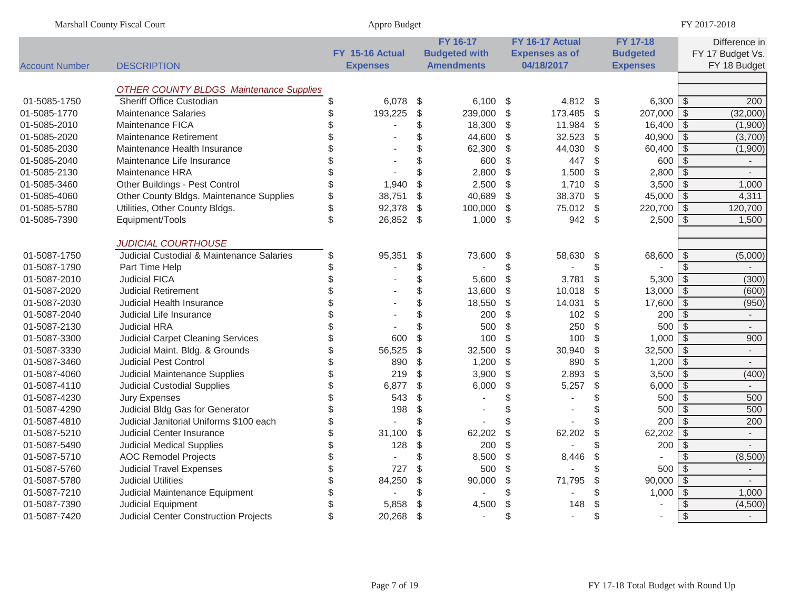|                       | Marshall County Fiscal Court                   |          | Appro Budget    |       |                      |                         |                       |                         |                 |                          | FY 2017-2018                     |
|-----------------------|------------------------------------------------|----------|-----------------|-------|----------------------|-------------------------|-----------------------|-------------------------|-----------------|--------------------------|----------------------------------|
|                       |                                                |          |                 |       | FY 16-17             |                         | FY 16-17 Actual       |                         | <b>FY 17-18</b> |                          | Difference in                    |
|                       |                                                |          | FY 15-16 Actual |       | <b>Budgeted with</b> |                         | <b>Expenses as of</b> |                         | <b>Budgeted</b> |                          | FY 17 Budget Vs.                 |
| <b>Account Number</b> | <b>DESCRIPTION</b>                             |          | <b>Expenses</b> |       | <b>Amendments</b>    |                         | 04/18/2017            |                         | <b>Expenses</b> |                          | FY 18 Budget                     |
|                       |                                                |          |                 |       |                      |                         |                       |                         |                 |                          |                                  |
|                       | <b>OTHER COUNTY BLDGS Maintenance Supplies</b> |          |                 |       |                      |                         |                       |                         |                 |                          |                                  |
| 01-5085-1750          | Sheriff Office Custodian                       | \$       | 6,078           | \$    | 6,100                | $\sqrt{3}$              | 4,812                 | $\sqrt{3}$              | 6,300           | -\$                      | 200                              |
| 01-5085-1770          | <b>Maintenance Salaries</b>                    | \$       | 193,225         | \$    | 239,000              | $\sqrt[6]{\frac{1}{2}}$ | 173,485               | $\sqrt[6]{\frac{1}{2}}$ | 207,000         | $\sqrt[6]{\frac{1}{2}}$  | (32,000)                         |
| 01-5085-2010          | Maintenance FICA                               | \$       |                 | \$    | 18,300               | \$                      | 11,984                | \$                      | 16,400          | -\$                      | (1,900)                          |
| 01-5085-2020          | <b>Maintenance Retirement</b>                  | \$       |                 | \$    | 44,600               | $\frac{1}{2}$           | 32,523                | $\sqrt[6]{\frac{1}{2}}$ | 40,900          | $\sqrt[6]{\frac{1}{2}}$  | (3,700)                          |
| 01-5085-2030          | Maintenance Health Insurance                   | \$       |                 | \$    | 62,300               | \$                      | 44,030                | $\sqrt[6]{\frac{1}{2}}$ | 60,400          | $\sqrt[3]{2}$            | (1,900)                          |
| 01-5085-2040          | Maintenance Life Insurance                     | \$       |                 | \$    | 600                  | \$                      | 447                   | $\sqrt[6]{\frac{1}{2}}$ | 600             | $\sqrt[6]{\frac{1}{2}}$  | $\sim$                           |
| 01-5085-2130          | Maintenance HRA                                | \$       |                 | \$    | 2,800                | $\frac{1}{2}$           | 1,500                 | $\sqrt[6]{\frac{1}{2}}$ | 2,800           | $\sqrt{2}$               | $\sim$                           |
| 01-5085-3460          | Other Buildings - Pest Control                 | \$       | 1,940           | \$    | 2,500                | \$                      | 1,710                 | $\sqrt[6]{\frac{1}{2}}$ | 3,500           | $\sqrt[6]{\frac{1}{2}}$  | 1,000                            |
| 01-5085-4060          | Other County Bldgs. Maintenance Supplies       | \$       | 38,751          | \$    | 40,689               | \$                      | 38,370                | $\frac{1}{2}$           | 45,000          | $\overline{\mathcal{S}}$ | 4,311                            |
| 01-5085-5780          | Utilities, Other County Bldgs.                 | \$       | 92,378          | \$    | 100,000              | $\frac{1}{2}$           | 75,012                | $\frac{1}{2}$           | 220,700         | $\sqrt[6]{\frac{1}{2}}$  | 120,700                          |
| 01-5085-7390          | Equipment/Tools                                | \$       | 26,852          | $\$\$ | 1,000                | \$                      | 942                   | -\$                     | 2,500           | \$                       | 1,500                            |
|                       | <b>JUDICIAL COURTHOUSE</b>                     |          |                 |       |                      |                         |                       |                         |                 |                          |                                  |
| 01-5087-1750          | Judicial Custodial & Maintenance Salaries      | \$       | 95,351          | \$    | 73,600               | \$                      | 58,630                | \$                      | 68,600          | \$                       | (5,000)                          |
| 01-5087-1790          | Part Time Help                                 | \$       |                 | \$    |                      | \$                      |                       | \$                      |                 | \$                       | $\overline{a}$                   |
| 01-5087-2010          | <b>Judicial FICA</b>                           | \$       |                 | \$    | 5,600                | $\frac{1}{2}$           | 3,781                 | \$                      | 5,300           | $\sqrt[6]{\frac{1}{2}}$  | (300)                            |
| 01-5087-2020          | <b>Judicial Retirement</b>                     | \$       |                 | \$    | 13,600               | $\frac{1}{2}$           | 10,018                | $\sqrt[6]{\frac{1}{2}}$ | 13,000          | $\sqrt{2}$               | (600)                            |
| 01-5087-2030          | <b>Judicial Health Insurance</b>               | \$       |                 | \$    | 18,550               | $\frac{1}{2}$           | 14,031                | $\frac{1}{2}$           | 17,600          | $\sqrt[6]{\frac{1}{2}}$  | (950)                            |
| 01-5087-2040          | Judicial Life Insurance                        | \$       |                 | \$    | 200                  | \$                      | 102                   | $\sqrt[6]{\frac{1}{2}}$ | 200             | \$                       | $\blacksquare$                   |
| 01-5087-2130          | Judicial HRA                                   | \$       |                 | \$    | 500                  | \$                      | 250                   | $\sqrt[6]{\frac{1}{2}}$ | 500             | $\sqrt{2}$               | $\blacksquare$                   |
| 01-5087-3300          | <b>Judicial Carpet Cleaning Services</b>       | \$       | 600             | \$    | 100                  | \$                      | 100                   | $\mathbb{S}$            | 1,000           | \$                       | 900                              |
| 01-5087-3330          | Judicial Maint. Bldg. & Grounds                | \$       | 56,525          | \$    | 32,500               | $\frac{1}{2}$           | 30,940                | $\frac{1}{2}$           | 32,500          | $\sqrt[6]{\frac{1}{2}}$  | $\blacksquare$                   |
| 01-5087-3460          | <b>Judicial Pest Control</b>                   | \$       | 890             | \$    | 1,200                | $\frac{1}{2}$           | 890                   | $\sqrt[6]{\frac{1}{2}}$ | 1,200           | $\sqrt[6]{\frac{1}{2}}$  |                                  |
| 01-5087-4060          | Judicial Maintenance Supplies                  | \$       | 219             | \$    | 3,900                | \$                      | 2,893                 | $\sqrt[6]{\frac{1}{2}}$ | 3,500           | $\sqrt{2}$               | (400)                            |
| 01-5087-4110          | <b>Judicial Custodial Supplies</b>             | \$       | 6,877           | \$    | 6,000                | $\frac{1}{2}$           | 5,257                 | $\frac{1}{2}$           | 6,000           | $\overline{\mathcal{S}}$ | $\mathcal{L}_{\mathcal{A}}$      |
| 01-5087-4230          | <b>Jury Expenses</b>                           | \$       | 543             | \$    |                      | \$                      |                       | \$                      | 500             | $\sqrt[6]{\frac{1}{2}}$  | 500                              |
| 01-5087-4290          | Judicial Bldg Gas for Generator                | \$       | 198             | \$    |                      | \$                      |                       | \$                      | 500             | $\mathfrak{S}$           | 500                              |
| 01-5087-4810          | Judicial Janitorial Uniforms \$100 each        | \$       |                 | \$    |                      | \$                      |                       | \$                      | 200             | $\overline{\mathcal{S}}$ | 200                              |
| 01-5087-5210          | <b>Judicial Center Insurance</b>               | \$       | 31,100          | \$    | 62,202               | \$                      | 62,202                | \$                      | 62,202          | $\mathfrak{S}$           | $\overline{a}$                   |
| 01-5087-5490          | <b>Judicial Medical Supplies</b>               | \$       | 128             | \$    | 200                  | $\mathcal{L}$           |                       | \$                      | 200             | $\sqrt[6]{\frac{1}{2}}$  | $\overline{a}$                   |
| 01-5087-5710          | <b>AOC Remodel Projects</b>                    | \$       |                 | \$    | 8,500                | \$                      | 8,446                 | \$                      |                 | \$                       | (8,500)                          |
|                       |                                                |          | 727             |       |                      |                         |                       |                         | 500             |                          |                                  |
| 01-5087-5760          | <b>Judicial Travel Expenses</b>                | \$<br>\$ |                 | \$    | 500                  | \$                      |                       | \$                      | 90,000          | \$                       | $\blacksquare$<br>$\overline{a}$ |
| 01-5087-5780          | <b>Judicial Utilities</b>                      |          | 84,250          | \$    | 90,000               | $\frac{1}{2}$           | 71,795                | $\frac{1}{2}$           |                 | $\sqrt{2}$               |                                  |
| 01-5087-7210          | Judicial Maintenance Equipment                 |          |                 | \$    |                      | \$                      |                       | \$                      | 1,000           | $\sqrt[6]{\frac{1}{2}}$  | 1,000                            |
| 01-5087-7390          | <b>Judicial Equipment</b>                      | \$       | 5,858           | \$    | 4,500                | \$                      | 148                   | \$                      |                 | \$                       | (4,500)                          |
| 01-5087-7420          | <b>Judicial Center Construction Projects</b>   | \$       | 20,268          | \$    | $\sim$               | $\mathfrak{L}$          | $\sim$                | \$                      |                 | $\sqrt[6]{\frac{1}{2}}$  | $\overline{\phantom{a}}$         |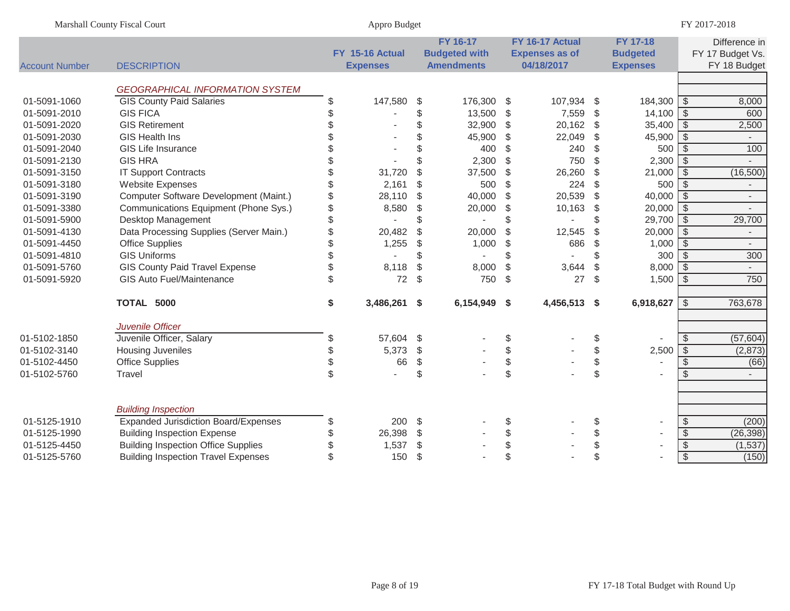|                       | Marshall County Fiscal Court                |               | Appro Budget    |                      |                         |                          |                           |                 |                          | FY 2017-2018             |
|-----------------------|---------------------------------------------|---------------|-----------------|----------------------|-------------------------|--------------------------|---------------------------|-----------------|--------------------------|--------------------------|
|                       |                                             |               |                 | FY 16-17             |                         | FY 16-17 Actual          |                           | <b>FY 17-18</b> |                          | Difference in            |
|                       |                                             |               | FY 15-16 Actual | <b>Budgeted with</b> |                         | <b>Expenses as of</b>    |                           | <b>Budgeted</b> |                          | FY 17 Budget Vs.         |
| <b>Account Number</b> | <b>DESCRIPTION</b>                          |               | <b>Expenses</b> | <b>Amendments</b>    |                         | 04/18/2017               |                           | <b>Expenses</b> |                          | FY 18 Budget             |
|                       | <b>GEOGRAPHICAL INFORMATION SYSTEM</b>      |               |                 |                      |                         |                          |                           |                 |                          |                          |
| 01-5091-1060          | <b>GIS County Paid Salaries</b>             | \$            | 147,580         | \$<br>176,300 \$     |                         | 107,934                  | - \$                      | 184,300 \$      |                          | 8,000                    |
| 01-5091-2010          | <b>GIS FICA</b>                             | \$            |                 | \$<br>13,500 \$      |                         | 7,559                    | \$                        | 14,100          | \$                       | 600                      |
| 01-5091-2020          | <b>GIS Retirement</b>                       | \$            |                 | \$<br>32,900         | $\sqrt[6]{2}$           | 20,162                   | \$                        | 35,400          | $\sqrt[6]{3}$            | 2,500                    |
| 01-5091-2030          | <b>GIS Health Ins</b>                       | \$            |                 | \$<br>45,900         | \$                      | 22,049                   | $\sqrt{2}$                | 45,900          | $\sqrt[6]{3}$            | $\overline{\phantom{a}}$ |
| 01-5091-2040          | <b>GIS Life Insurance</b>                   | \$            |                 | \$<br>400            | \$                      | 240                      | \$                        | 500             | $\sqrt[3]{2}$            | 100                      |
| 01-5091-2130          | <b>GIS HRA</b>                              | \$            |                 | \$<br>2,300          | \$                      | 750                      | \$                        | 2,300           | \$                       |                          |
| 01-5091-3150          | <b>IT Support Contracts</b>                 | \$            | 31,720          | \$<br>37,500         | $\sqrt[6]{\frac{1}{2}}$ | 26,260                   | $\sqrt{2}$                | 21,000          | $\sqrt[6]{3}$            | (16,500)                 |
| 01-5091-3180          | <b>Website Expenses</b>                     | $\mathcal{S}$ | 2,161           | \$<br>500            | \$                      | 224                      | \$                        | 500             | \$                       | $\overline{\phantom{a}}$ |
| 01-5091-3190          | Computer Software Development (Maint.)      | \$            | 28,110          | \$<br>40,000         | $\sqrt[6]{\frac{1}{2}}$ | 20,539                   | $\boldsymbol{\mathsf{S}}$ | 40,000          | \$                       | $\overline{\phantom{a}}$ |
| 01-5091-3380          | Communications Equipment (Phone Sys.)       | \$            | 8,580           | \$<br>20,000         | \$                      | 10,163                   | $\sqrt{2}$                | 20,000          | $\sqrt[6]{3}$            | $\overline{\phantom{a}}$ |
| 01-5091-5900          | Desktop Management                          | \$            |                 | \$                   | \$                      |                          | \$                        | 29,700          | $\sqrt[6]{3}$            | 29,700                   |
| 01-5091-4130          | Data Processing Supplies (Server Main.)     | \$            | 20,482          | \$<br>20,000         | \$                      | 12,545                   | $\boldsymbol{\mathsf{S}}$ | 20,000          | $\sqrt[6]{3}$            | $\overline{\phantom{a}}$ |
| 01-5091-4450          | <b>Office Supplies</b>                      | \$            | 1,255           | \$<br>1,000          | $\sqrt[6]{\frac{1}{2}}$ | 686                      | $\mathcal{L}$             | 1,000           | $\sqrt[6]{3}$            | $\overline{\phantom{a}}$ |
| 01-5091-4810          | <b>GIS Uniforms</b>                         | \$            |                 | \$                   | \$                      |                          | \$                        | 300             | $\mathcal{S}$            | 300                      |
| 01-5091-5760          | <b>GIS County Paid Travel Expense</b>       | \$            | 8,118           | \$<br>8,000          | \$                      | 3,644                    | $\boldsymbol{\mathsf{S}}$ | 8,000           | \$                       | $\sim$                   |
| 01-5091-5920          | GIS Auto Fuel/Maintenance                   | \$            | 72              | \$<br>750            | $\sqrt[6]{\frac{1}{2}}$ | 27                       | \$                        | 1,500           | $\sqrt[3]{2}$            | 750                      |
|                       | TOTAL 5000                                  | \$            | 3,486,261 \$    | 6,154,949 \$         |                         | 4,456,513 \$             |                           | 6,918,627       | $\sqrt{3}$               | 763,678                  |
|                       | Juvenile Officer                            |               |                 |                      |                         |                          |                           |                 |                          |                          |
| 01-5102-1850          | Juvenile Officer, Salary                    | \$            | 57,604          | \$                   | \$                      |                          | \$                        |                 | -\$                      | (57, 604)                |
| 01-5102-3140          | <b>Housing Juveniles</b>                    | S             | 5,373           | \$                   | \$                      | $\blacksquare$           | \$                        | 2,500           | $\overline{\$}$          | (2, 873)                 |
| 01-5102-4450          | <b>Office Supplies</b>                      | \$            | 66              | \$                   | $\frac{1}{2}$           | $\overline{\phantom{a}}$ | \$                        |                 | $\sqrt[3]{2}$            | (66)                     |
| 01-5102-5760          | Travel                                      | $\mathcal{S}$ |                 | \$                   | $\$\$                   |                          | \$                        |                 | \$                       |                          |
|                       |                                             |               |                 |                      |                         |                          |                           |                 |                          |                          |
|                       | <b>Building Inspection</b>                  |               |                 |                      |                         |                          |                           |                 |                          |                          |
| 01-5125-1910          | <b>Expanded Jurisdiction Board/Expenses</b> | S             | 200             | \$                   | \$                      |                          | \$                        |                 | $\sqrt[6]{3}$            | (200)                    |
| 01-5125-1990          | <b>Building Inspection Expense</b>          | S             | 26,398          | \$                   | \$                      |                          | \$                        |                 | $\overline{\mathcal{S}}$ | (26, 398)                |
| 01-5125-4450          | <b>Building Inspection Office Supplies</b>  |               | 1,537           | \$                   | \$                      |                          | \$                        |                 | $\sqrt[6]{\frac{1}{2}}$  | (1, 537)                 |
| 01-5125-5760          | <b>Building Inspection Travel Expenses</b>  | \$            | 150             | \$                   | \$                      |                          | \$                        |                 | $\overline{\mathcal{S}}$ | (150)                    |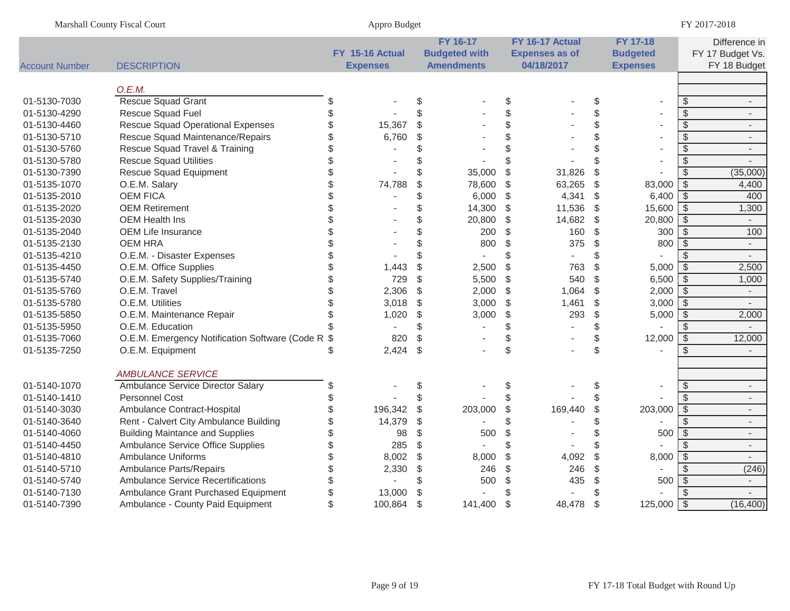|                       | Marshall County Fiscal Court                   |               | Appro Budget    |       |                      |                           |                       |                         |                          |                          | FY 2017-2018             |
|-----------------------|------------------------------------------------|---------------|-----------------|-------|----------------------|---------------------------|-----------------------|-------------------------|--------------------------|--------------------------|--------------------------|
|                       |                                                |               |                 |       | FY 16-17             |                           | FY 16-17 Actual       |                         | <b>FY 17-18</b>          |                          | Difference in            |
|                       |                                                |               | FY 15-16 Actual |       | <b>Budgeted with</b> |                           | <b>Expenses as of</b> |                         | <b>Budgeted</b>          |                          | FY 17 Budget Vs.         |
| <b>Account Number</b> | <b>DESCRIPTION</b>                             |               | <b>Expenses</b> |       | <b>Amendments</b>    |                           | 04/18/2017            |                         | <b>Expenses</b>          |                          | FY 18 Budget             |
|                       | O.E.M.                                         |               |                 |       |                      |                           |                       |                         |                          |                          |                          |
| 01-5130-7030          | Rescue Squad Grant                             | \$            |                 | \$    |                      | $\frac{1}{2}$             |                       | \$                      | $\sim$                   | $\frac{1}{2}$            | $\blacksquare$           |
| 01-5130-4290          | Rescue Squad Fuel                              | \$            |                 | \$    |                      | \$                        |                       | \$                      |                          | $\mathcal{S}$            | $\overline{\phantom{a}}$ |
| 01-5130-4460          | <b>Rescue Squad Operational Expenses</b>       | \$            | 15,367          | \$    |                      | \$                        |                       | \$                      |                          | $\overline{\mathcal{S}}$ | $\overline{\phantom{a}}$ |
| 01-5130-5710          | Rescue Squad Maintenance/Repairs               | \$            | 6,760           | \$    |                      | \$                        |                       | \$                      |                          | $\sqrt[6]{\frac{1}{2}}$  | $\overline{\phantom{a}}$ |
| 01-5130-5760          | Rescue Squad Travel & Training                 | \$            |                 | \$    |                      | \$                        |                       | \$                      |                          | $\overline{\mathcal{S}}$ | $\overline{\phantom{a}}$ |
| 01-5130-5780          | <b>Rescue Squad Utilities</b>                  |               |                 | \$    |                      | \$                        |                       | \$                      |                          | $\overline{\mathcal{S}}$ | $\blacksquare$           |
| 01-5130-7390          | <b>Rescue Squad Equipment</b>                  | \$            |                 | \$    | 35,000               | \$                        | 31,826                | \$                      |                          | $\mathcal{S}$            | (35,000)                 |
| 01-5135-1070          | O.E.M. Salary                                  | \$            | 74,788          | \$    | 78,600               | \$                        | 63,265                | $\sqrt[6]{\frac{1}{2}}$ | 83,000                   | $\sqrt[6]{3}$            | 4,400                    |
| 01-5135-2010          | <b>OEM FICA</b>                                | \$            |                 | \$    | 6,000                | \$                        | 4,341                 | $\sqrt[6]{\frac{1}{2}}$ | 6,400                    | $\overline{\mathcal{S}}$ | 400                      |
| 01-5135-2020          | <b>OEM Retirement</b>                          | \$            |                 | \$    | 14,300               | $\boldsymbol{\mathsf{S}}$ | 11,536                | $\$\$                   | 15,600                   | $\overline{\mathcal{S}}$ | 1,300                    |
| 01-5135-2030          | <b>OEM Health Ins</b>                          |               |                 | \$    | 20,800               | \$                        | 14,682                | $\$\$                   | 20,800                   | $\overline{\mathcal{S}}$ | $\sim$                   |
| 01-5135-2040          | <b>OEM Life Insurance</b>                      | \$            |                 | \$    | 200                  | \$                        | 160                   | $\sqrt[6]{\frac{1}{2}}$ | 300                      | $\overline{\mathcal{S}}$ | 100                      |
| 01-5135-2130          | <b>OEM HRA</b>                                 | \$            |                 | \$    | 800                  | \$                        | 375                   | $\$\$                   | 800                      | $\sqrt[6]{\frac{1}{2}}$  | $\sim$                   |
| 01-5135-4210          | O.E.M. - Disaster Expenses                     |               |                 | \$    |                      | \$                        | $\omega$              | \$                      |                          | $\mathfrak{L}$           | $\sim$                   |
| 01-5135-4450          | O.E.M. Office Supplies                         |               | 1,443           | \$    | 2,500                | $\mathcal{L}$             | 763                   | $\mathcal{S}$           | 5,000                    | $\overline{\mathcal{S}}$ | 2,500                    |
| 01-5135-5740          | O.E.M. Safety Supplies/Training                | \$            | 729             | \$    | 5,500                | $\boldsymbol{\mathsf{S}}$ | 540                   | \$                      | 6,500                    | $\overline{\mathcal{S}}$ | 1,000                    |
| 01-5135-5760          | O.E.M. Travel                                  | \$            | 2,306           | \$    | 2,000                | \$                        | 1,064                 | $\sqrt[6]{\frac{1}{2}}$ | 2,000                    | $\sqrt[6]{\frac{1}{2}}$  | $\sim$                   |
| 01-5135-5780          | O.E.M. Utilities                               | \$            | 3,018           | \$    | 3,000                | $\frac{1}{2}$             | 1,461                 | \$                      | 3,000                    | $\overline{\mathcal{S}}$ | $\overline{\phantom{a}}$ |
| 01-5135-5850          | O.E.M. Maintenance Repair                      | \$            | 1,020           | \$    | 3,000                | $\frac{1}{2}$             | 293                   | $\mathbb{S}$            | 5,000                    | $\overline{\mathcal{S}}$ | 2,000                    |
| 01-5135-5950          | O.E.M. Education                               |               |                 | \$    |                      | \$                        | $\sim$                | \$                      |                          | $\mathfrak{S}$           | $\overline{\phantom{a}}$ |
| 01-5135-7060          | O.E.M. Emergency Notification Software (Code R | \$            | 820             | \$    |                      | \$                        |                       | \$                      | 12,000                   | $\overline{\mathcal{S}}$ | 12,000                   |
| 01-5135-7250          | O.E.M. Equipment                               | \$            | 2,424           | $\$\$ |                      | \$                        |                       | \$                      |                          | \$                       | $\sim$                   |
|                       | <b>AMBULANCE SERVICE</b>                       |               |                 |       |                      |                           |                       |                         |                          |                          |                          |
| 01-5140-1070          | Ambulance Service Director Salary              | \$            |                 | \$    |                      | \$                        |                       | \$                      | $\overline{\phantom{a}}$ | \$                       | $\blacksquare$           |
| 01-5140-1410          | <b>Personnel Cost</b>                          | \$            |                 | \$    |                      | \$                        |                       | \$                      |                          | $\sqrt[6]{\frac{1}{2}}$  | $\blacksquare$           |
| 01-5140-3030          | Ambulance Contract-Hospital                    | \$            | 196,342         | \$    | 203,000              | \$                        | 169,440               | \$                      | 203,000                  | $\sqrt[6]{\frac{1}{2}}$  | $\overline{\phantom{a}}$ |
| 01-5140-3640          | Rent - Calvert City Ambulance Building         | \$            | 14,379          | \$    |                      | \$                        |                       | \$                      |                          | $\mathcal{L}$            | $\overline{\phantom{a}}$ |
| 01-5140-4060          | <b>Building Maintance and Supplies</b>         | \$            | 98              | \$    | 500                  | \$                        |                       | \$                      | 500                      | $\sqrt[6]{\frac{1}{2}}$  | $\overline{\phantom{a}}$ |
| 01-5140-4450          | Ambulance Service Office Supplies              | \$            | 285             | \$    |                      | \$                        |                       | \$                      |                          | $\sqrt[6]{\frac{1}{2}}$  | $\overline{\phantom{a}}$ |
| 01-5140-4810          | <b>Ambulance Uniforms</b>                      | \$            | 8,002           | \$    | 8,000                | \$                        | 4,092                 | \$                      | 8,000                    | $\sqrt[6]{\frac{1}{2}}$  | $\sim$                   |
| 01-5140-5710          | <b>Ambulance Parts/Repairs</b>                 | \$            | 2,330           | \$    | 246                  | $\mathcal{L}$             | 246                   | \$                      |                          | $\mathcal{S}$            | (246)                    |
| 01-5140-5740          | <b>Ambulance Service Recertifications</b>      | \$            |                 | \$    | 500                  | \$                        | 435                   | \$                      | 500                      | $\frac{1}{2}$            | $\blacksquare$           |
| 01-5140-7130          | Ambulance Grant Purchased Equipment            | \$            | 13,000          | \$    |                      | \$                        |                       | \$                      |                          | $\mathcal{S}$            | $\blacksquare$           |
| 01-5140-7390          | Ambulance - County Paid Equipment              | $\mathcal{S}$ | 100,864         | \$    | 141,400              | $\frac{1}{2}$             | 48,478                | \$                      | 125,000                  | $\sqrt{S}$               | (16, 400)                |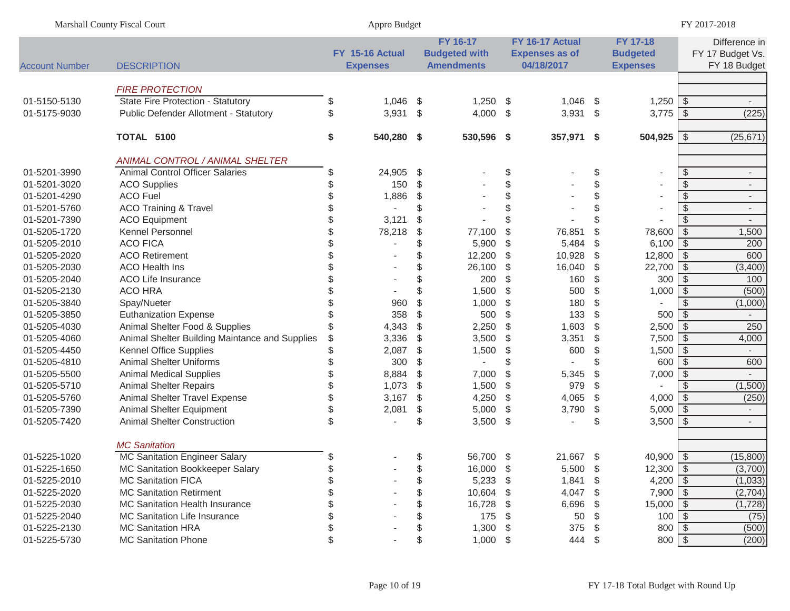| Marshall County Fiscal Court |                                                | Appro Budget                       |                                                       |               | FY 2017-2018                                           |       |                                                |                          |                                                   |
|------------------------------|------------------------------------------------|------------------------------------|-------------------------------------------------------|---------------|--------------------------------------------------------|-------|------------------------------------------------|--------------------------|---------------------------------------------------|
| <b>Account Number</b>        | <b>DESCRIPTION</b>                             | FY 15-16 Actual<br><b>Expenses</b> | FY 16-17<br><b>Budgeted with</b><br><b>Amendments</b> |               | FY 16-17 Actual<br><b>Expenses as of</b><br>04/18/2017 |       | FY 17-18<br><b>Budgeted</b><br><b>Expenses</b> |                          | Difference in<br>FY 17 Budget Vs.<br>FY 18 Budget |
|                              |                                                |                                    |                                                       |               |                                                        |       |                                                |                          |                                                   |
|                              | <b>FIRE PROTECTION</b>                         |                                    |                                                       |               |                                                        |       |                                                |                          |                                                   |
| 01-5150-5130                 | State Fire Protection - Statutory              | \$<br>$1,046$ \$                   | $1,250$ \$                                            |               | 1,046                                                  | \$    | $1,250$ \$                                     |                          |                                                   |
| 01-5175-9030                 | Public Defender Allotment - Statutory          | \$<br>$3,931$ \$                   | 4,000 \$                                              |               | 3,931                                                  | \$    | $3,775$ \$                                     |                          | (225)                                             |
|                              | <b>TOTAL 5100</b>                              | \$<br>540,280 \$                   | 530,596 \$                                            |               | 357,971                                                | \$    | $504,925$ \$                                   |                          | (25, 671)                                         |
|                              | ANIMAL CONTROL / ANIMAL SHELTER                |                                    |                                                       |               |                                                        |       |                                                |                          |                                                   |
| 01-5201-3990                 | <b>Animal Control Officer Salaries</b>         | \$<br>24,905 \$                    |                                                       | \$            |                                                        | \$    | $\overline{\phantom{a}}$                       | $\frac{1}{2}$            | $\overline{\phantom{a}}$                          |
| 01-5201-3020                 | <b>ACO Supplies</b>                            | \$<br>150                          | \$                                                    | $\$\,$        |                                                        | \$    | $\overline{\phantom{a}}$                       | $\sqrt[6]{\frac{1}{2}}$  | $\overline{\phantom{a}}$                          |
| 01-5201-4290                 | <b>ACO Fuel</b>                                | \$<br>1,886                        | \$                                                    | \$            |                                                        | \$    |                                                | $\frac{1}{2}$            | $\overline{\phantom{a}}$                          |
| 01-5201-5760                 | <b>ACO Training &amp; Travel</b>               | \$<br>$\blacksquare$               | \$                                                    | $\frac{1}{2}$ |                                                        | \$    |                                                | $\sqrt[6]{\frac{1}{2}}$  | $\overline{\phantom{a}}$                          |
| 01-5201-7390                 | <b>ACO Equipment</b>                           | \$<br>3,121                        | \$                                                    | \$            |                                                        | \$    |                                                | \$                       |                                                   |
| 01-5205-1720                 | Kennel Personnel                               | \$<br>78,218                       | \$<br>77,100                                          | \$            | 76,851                                                 | \$    | 78,600                                         | $\sqrt{3}$               | 1,500                                             |
| 01-5205-2010                 | <b>ACO FICA</b>                                | $\blacksquare$                     | \$<br>5,900                                           | \$            | 5,484                                                  | \$    | 6,100                                          | \$                       | 200                                               |
| 01-5205-2020                 | <b>ACO Retirement</b>                          |                                    | \$<br>12,200                                          | \$            | 10,928                                                 | \$    | 12,800                                         | $\sqrt{3}$               | 600                                               |
| 01-5205-2030                 | <b>ACO Health Ins</b>                          |                                    | \$<br>26,100                                          | \$            | 16,040                                                 | $\$\$ | 22,700                                         | $\sqrt[6]{3}$            | (3,400)                                           |
| 01-5205-2040                 | <b>ACO Life Insurance</b>                      |                                    | \$<br>200                                             | \$            | 160                                                    | \$    | 300                                            | $\overline{\mathcal{S}}$ | 100                                               |
| 01-5205-2130                 | ACO HRA                                        |                                    | \$<br>1,500                                           | \$            | 500                                                    | \$    | 1,000                                          | $\sqrt[6]{2}$            | (500)                                             |
| 01-5205-3840                 | Spay/Nueter                                    | 960                                | \$<br>1,000                                           | \$            | 180                                                    | \$    |                                                | \$                       | (1,000)                                           |
| 01-5205-3850                 | <b>Euthanization Expense</b>                   | 358                                | \$<br>500                                             | \$            | 133                                                    | \$    | 500                                            | $\sqrt[6]{\frac{1}{2}}$  | $\sim$                                            |
| 01-5205-4030                 | Animal Shelter Food & Supplies                 | 4,343                              | \$<br>2,250                                           | \$            | 1,603                                                  | \$    | 2,500                                          | <b>S</b>                 | 250                                               |
| 01-5205-4060                 | Animal Shelter Building Maintance and Supplies | \$<br>3,336                        | \$<br>3,500                                           | \$            | 3,351                                                  | $\$\$ | 7,500                                          | $\sqrt[6]{3}$            | 4,000                                             |
| 01-5205-4450                 | Kennel Office Supplies                         | \$<br>2,087                        | \$<br>1,500                                           | \$            | 600                                                    | \$    | 1,500                                          | $\overline{\mathcal{S}}$ | $\sim$                                            |
| 01-5205-4810                 | <b>Animal Shelter Uniforms</b>                 | \$<br>300                          | \$                                                    | \$            |                                                        | \$    | 600                                            | $\sqrt[6]{\frac{1}{2}}$  | 600                                               |
| 01-5205-5500                 | <b>Animal Medical Supplies</b>                 | \$<br>8,884                        | \$<br>7,000                                           | \$            | 5,345                                                  | \$    | 7,000                                          | $\sqrt[6]{\frac{1}{2}}$  |                                                   |
| 01-5205-5710                 | <b>Animal Shelter Repairs</b>                  | 1,073                              | \$<br>1,500                                           | \$            | 979                                                    | \$    |                                                | $\mathcal{S}$            | (1,500)                                           |
| 01-5205-5760                 | Animal Shelter Travel Expense                  | 3,167                              | \$<br>4,250                                           | \$            | 4,065                                                  | \$    |                                                |                          | (250)                                             |
| 01-5205-7390                 | Animal Shelter Equipment                       | \$<br>2,081                        | \$<br>5,000                                           | \$            | 3,790                                                  | \$    |                                                |                          | $\overline{\phantom{a}}$                          |
| 01-5205-7420                 | <b>Animal Shelter Construction</b>             | \$<br>$\overline{a}$               | \$<br>$3,500$ \$                                      |               |                                                        | \$    |                                                |                          | $\blacksquare$                                    |
|                              | <b>MC Sanitation</b>                           |                                    |                                                       |               |                                                        |       |                                                |                          |                                                   |
| 01-5225-1020                 | <b>MC Sanitation Engineer Salary</b>           | \$                                 | \$<br>56,700 \$                                       |               | 21,667                                                 | \$    | $40,900$ \ \$                                  |                          | (15,800)                                          |
| 01-5225-1650                 | MC Sanitation Bookkeeper Salary                |                                    | 16,000 \$                                             |               | 5,500                                                  | \$    |                                                |                          | (3,700)                                           |
| 01-5225-2010                 | <b>MC Sanitation FICA</b>                      |                                    | \$<br>$5,233$ \$                                      |               | 1,841                                                  | \$    | 4,200 $\sqrt{$}$                               |                          | (1,033)                                           |
| 01-5225-2020                 | <b>MC Sanitation Retirment</b>                 |                                    | \$<br>10,604 \$                                       |               | 4,047                                                  | \$    | $7,900$ \$                                     |                          | (2,704)                                           |
| 01-5225-2030                 | MC Sanitation Health Insurance                 |                                    | \$<br>16,728 \$                                       |               | 6,696                                                  | - \$  | 15,000                                         | \$                       | (1,728)                                           |
| 01-5225-2040                 | <b>MC Sanitation Life Insurance</b>            |                                    | \$<br>$175$ \$                                        |               | 50                                                     | \$    | 100                                            | \$                       | (75)                                              |
| 01-5225-2130                 | <b>MC Sanitation HRA</b>                       |                                    | \$<br>$1,300$ \$                                      |               | 375                                                    | \$    | 800                                            | $\sqrt{3}$               | (500)                                             |
| 01-5225-5730                 | <b>MC Sanitation Phone</b>                     | \$                                 | \$<br>$1,000$ \$                                      |               | 444                                                    | \$    | $800$ \$                                       |                          | (200)                                             |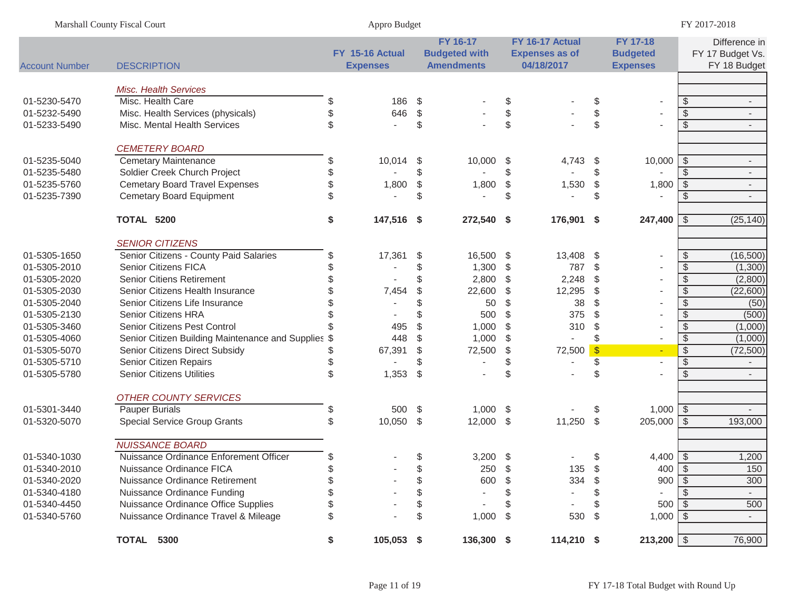| Marshall County Fiscal Court |                                                     | Appro Budget     |     |                      |                                           |                       |                            | FY 2017-2018             |                         |                          |
|------------------------------|-----------------------------------------------------|------------------|-----|----------------------|-------------------------------------------|-----------------------|----------------------------|--------------------------|-------------------------|--------------------------|
|                              |                                                     |                  |     | FY 16-17             |                                           | FY 16-17 Actual       |                            | FY 17-18                 |                         | Difference in            |
|                              |                                                     | FY 15-16 Actual  |     | <b>Budgeted with</b> |                                           | <b>Expenses as of</b> |                            | <b>Budgeted</b>          |                         | FY 17 Budget Vs.         |
| <b>Account Number</b>        | <b>DESCRIPTION</b>                                  | <b>Expenses</b>  |     | <b>Amendments</b>    |                                           | 04/18/2017            |                            | <b>Expenses</b>          |                         | FY 18 Budget             |
|                              | <b>Misc. Health Services</b>                        |                  |     |                      |                                           |                       |                            |                          |                         |                          |
| 01-5230-5470                 | Misc. Health Care                                   | \$<br>186        | -\$ |                      | \$                                        |                       | \$                         |                          | \$                      | $\overline{\phantom{a}}$ |
| 01-5232-5490                 | Misc. Health Services (physicals)                   | \$<br>646        | \$  |                      | $\, \, \raisebox{12pt}{$\scriptstyle \$}$ |                       | \$                         |                          | $\sqrt[6]{\frac{1}{2}}$ | $\overline{\phantom{a}}$ |
| 01-5233-5490                 | Misc. Mental Health Services                        | \$               | \$  |                      | \$                                        |                       | \$                         |                          | $\frac{1}{2}$           | $\overline{\phantom{a}}$ |
|                              |                                                     |                  |     |                      |                                           |                       |                            |                          |                         |                          |
|                              | <b>CEMETERY BOARD</b>                               |                  |     |                      |                                           |                       |                            |                          |                         |                          |
| 01-5235-5040                 | <b>Cemetary Maintenance</b>                         | \$<br>10,014     | -\$ | 10,000               | \$                                        | 4,743                 | \$                         | 10,000                   | -\$                     | $\overline{\phantom{a}}$ |
| 01-5235-5480                 | Soldier Creek Church Project                        | \$               | \$  |                      | \$                                        |                       | \$                         |                          | \$.                     | $\overline{\phantom{a}}$ |
| 01-5235-5760                 | <b>Cemetary Board Travel Expenses</b>               | \$<br>1,800      | \$  | 1,800                | \$                                        | 1,530                 | $\boldsymbol{\mathsf{\$}}$ | 1,800                    | \$                      | $\overline{\phantom{a}}$ |
| 01-5235-7390                 | <b>Cemetary Board Equipment</b>                     | \$               | \$  |                      | \$                                        |                       | \$                         |                          | \$                      |                          |
|                              | TOTAL 5200                                          | \$<br>147,516 \$ |     | 272,540 \$           |                                           | 176,901               | -\$                        | 247,400                  | -\$                     | (25, 140)                |
|                              | <b>SENIOR CITIZENS</b>                              |                  |     |                      |                                           |                       |                            |                          |                         |                          |
| 01-5305-1650                 | Senior Citizens - County Paid Salaries              | \$<br>17,361     | \$  | 16,500               | - \$                                      | 13,408                | -\$                        |                          | \$                      | (16, 500)                |
| 01-5305-2010                 | <b>Senior Citizens FICA</b>                         | \$               | \$  | 1,300                | \$                                        | 787                   | \$                         |                          | \$                      | (1,300)                  |
| 01-5305-2020                 | <b>Senior Citiens Retirement</b>                    |                  | \$  | 2,800                | $\frac{1}{2}$                             | 2,248                 | \$                         |                          | \$                      | (2,800)                  |
| 01-5305-2030                 | Senior Citizens Health Insurance                    | 7,454            | \$  | 22,600               | \$                                        | 12,295                | $\sqrt[6]{\frac{1}{2}}$    |                          | $\sqrt[6]{\frac{1}{2}}$ | (22,600)                 |
| 01-5305-2040                 | Senior Citizens Life Insurance                      |                  |     | 50                   | \$                                        | 38                    | \$                         |                          | $\sqrt[6]{\frac{1}{2}}$ | (50)                     |
| 01-5305-2130                 | Senior Citizens HRA                                 |                  |     | 500                  | \$                                        | 375                   | $\sqrt[6]{\frac{1}{2}}$    |                          | $\mathcal{S}$           | (500)                    |
| 01-5305-3460                 | Senior Citizens Pest Control                        | 495              | \$  | 1,000                | \$                                        | 310                   | \$                         |                          | $\sqrt[6]{\frac{1}{2}}$ | (1,000)                  |
| 01-5305-4060                 | Senior Citizen Building Maintenance and Supplies \$ | 448              | \$  | 1,000                | $\$\$                                     | $\sim$                | \$                         | $\overline{\phantom{a}}$ | $\sqrt[6]{\frac{1}{2}}$ | (1,000)                  |
| 01-5305-5070                 | Senior Citizens Direct Subsidy                      | \$<br>67,391     | \$  | 72,500               | \$                                        | 72,500                | $\sqrt{S}$                 | $\omega$                 | $\sqrt{2}$              | (72, 500)                |
| 01-5305-5710                 | Senior Citizen Repairs                              | \$               |     | $\blacksquare$       | \$                                        |                       | \$                         | $\overline{a}$           | $\sqrt[6]{\frac{1}{2}}$ | $\blacksquare$           |
| 01-5305-5780                 | <b>Senior Citizens Utilities</b>                    | \$<br>1,353      | \$  |                      | \$                                        |                       | \$                         |                          | $\mathcal{S}$           | $\sim$                   |
|                              | <b>OTHER COUNTY SERVICES</b>                        |                  |     |                      |                                           |                       |                            |                          |                         |                          |
| 01-5301-3440                 | <b>Pauper Burials</b>                               | \$<br>500        | -\$ | $1,000$ \$           |                                           |                       | \$                         | $1,000$ \ \$             |                         | $\overline{\phantom{a}}$ |
| 01-5320-5070                 | <b>Special Service Group Grants</b>                 | \$<br>10,050 \$  |     | 12,000 \$            |                                           | 11,250                | $\$\$                      | 205,000                  | $\sqrt{3}$              | 193,000                  |
|                              |                                                     |                  |     |                      |                                           |                       |                            |                          |                         |                          |
|                              | <b>NUISSANCE BOARD</b>                              |                  |     |                      |                                           |                       |                            |                          |                         |                          |
| 01-5340-1030                 | Nuissance Ordinance Enforement Officer              | \$               | \$  | $3,200$ \$           |                                           |                       | \$                         | 4,400                    | -\$                     | 1,200                    |
| 01-5340-2010                 | Nuissance Ordinance FICA                            |                  | Ψ   | 250                  | - \$                                      | 135                   | -\$                        | $400$   \$               |                         | 150                      |
| 01-5340-2020                 | Nuissance Ordinance Retirement                      |                  | \$  | 600                  | \$                                        | 334                   | - \$                       | 900                      | -\$                     | 300                      |
| 01-5340-4180                 | Nuissance Ordinance Funding                         |                  | \$  |                      | S                                         |                       |                            |                          |                         | $\blacksquare$           |
| 01-5340-4450                 | Nuissance Ordinance Office Supplies                 |                  | \$  |                      | S                                         |                       | \$                         | 500                      | \$                      | 500                      |
| 01-5340-5760                 | Nuissance Ordinance Travel & Mileage                | \$               | \$  | $1,000$ \$           |                                           | 530                   | \$                         | 1,000                    | - \$                    |                          |
|                              | TOTAL 5300                                          | \$<br>105,053 \$ |     | 136,300 \$           |                                           | 114,210 \$            |                            | $213,200$ \$             |                         | 76,900                   |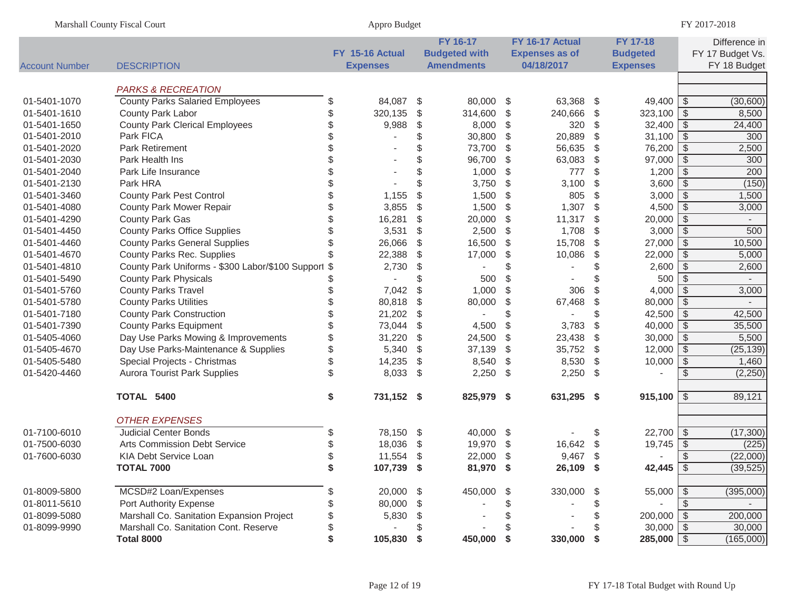| Marshall County Fiscal Court |                                                             |          | Appro Budget                       |               |                                                       |               |                                                        |                         |                                                       | FY 2017-2018            |                                                   |  |
|------------------------------|-------------------------------------------------------------|----------|------------------------------------|---------------|-------------------------------------------------------|---------------|--------------------------------------------------------|-------------------------|-------------------------------------------------------|-------------------------|---------------------------------------------------|--|
| <b>Account Number</b>        | <b>DESCRIPTION</b>                                          |          | FY 15-16 Actual<br><b>Expenses</b> |               | FY 16-17<br><b>Budgeted with</b><br><b>Amendments</b> |               | FY 16-17 Actual<br><b>Expenses as of</b><br>04/18/2017 |                         | <b>FY 17-18</b><br><b>Budgeted</b><br><b>Expenses</b> |                         | Difference in<br>FY 17 Budget Vs.<br>FY 18 Budget |  |
|                              |                                                             |          |                                    |               |                                                       |               |                                                        |                         |                                                       |                         |                                                   |  |
|                              | <b>PARKS &amp; RECREATION</b>                               |          |                                    |               |                                                       |               |                                                        |                         |                                                       |                         |                                                   |  |
| 01-5401-1070<br>01-5401-1610 | <b>County Parks Salaried Employees</b><br>County Park Labor | \$<br>\$ | 84,087<br>320,135                  | \$<br>\$      | 80,000<br>314,600                                     | \$<br>\$      | 63,368<br>240,666                                      | - \$<br>\$              | $49,400$ \$<br>$323,100$ \ \$                         |                         | (30,600)<br>8,500                                 |  |
| 01-5401-1650                 | <b>County Park Clerical Employees</b>                       | \$       | 9,988                              | \$            | 8,000                                                 | \$            | 320                                                    | \$                      | $32,400$ \$                                           |                         | 24,400                                            |  |
| 01-5401-2010                 | Park FICA                                                   |          |                                    | \$            | 30,800                                                | \$            | 20,889                                                 | \$                      | 31,100 $\sqrt{$}$                                     |                         | 300                                               |  |
| 01-5401-2020                 | <b>Park Retirement</b>                                      |          |                                    | \$            | 73,700                                                | \$            | 56,635                                                 | \$                      | 76,200                                                | \$                      | 2,500                                             |  |
| 01-5401-2030                 | Park Health Ins                                             |          |                                    | \$            | 96,700                                                | $\frac{1}{2}$ | 63,083                                                 | $\$\$                   | 97,000                                                | $\sqrt[3]{2}$           | 300                                               |  |
| 01-5401-2040                 | Park Life Insurance                                         |          |                                    |               | 1,000                                                 | $\frac{1}{2}$ | 777                                                    | \$                      | 1,200                                                 | $\sqrt[6]{\frac{1}{2}}$ | 200                                               |  |
| 01-5401-2130                 | Park HRA                                                    |          |                                    |               | 3,750                                                 | $\frac{1}{2}$ | 3,100                                                  | $\sqrt[6]{\frac{1}{2}}$ | 3,600                                                 | $\sqrt[6]{\frac{1}{2}}$ | (150)                                             |  |
| 01-5401-3460                 | <b>County Park Pest Control</b>                             |          | 1,155                              | \$            | 1,500                                                 | $\frac{1}{2}$ | 805                                                    | $\$\$                   | 3,000                                                 | $\sqrt[6]{\frac{1}{2}}$ | 1,500                                             |  |
| 01-5401-4080                 | <b>County Park Mower Repair</b>                             | \$       | 3,855                              | \$            | 1,500                                                 | $\frac{1}{2}$ | 1,307                                                  | $\$\$                   | 4,500                                                 | $\sqrt[3]{2}$           | 3,000                                             |  |
| 01-5401-4290                 | <b>County Park Gas</b>                                      | \$       | 16,281                             | $\frac{1}{2}$ | 20,000                                                | $\frac{1}{2}$ | 11,317                                                 | $\$\$                   | 20,000                                                | $\sqrt[3]{2}$           |                                                   |  |
| 01-5401-4450                 | <b>County Parks Office Supplies</b>                         | \$       | 3,531                              | $\frac{1}{2}$ | 2,500                                                 | \$            | 1,708                                                  | $\$\$                   | 3,000                                                 | $\sqrt[3]{2}$           | 500                                               |  |
| 01-5401-4460                 | <b>County Parks General Supplies</b>                        | \$       | 26,066                             | \$            | 16,500                                                | \$            | 15,708                                                 | \$                      | 27,000                                                | -\$                     | 10,500                                            |  |
| 01-5401-4670                 | County Parks Rec. Supplies                                  |          | 22,388                             | \$            | 17,000                                                | \$            | 10,086                                                 | $\$\$                   | 22,000                                                | $\sqrt[3]{2}$           | 5,000                                             |  |
| 01-5401-4810                 | County Park Uniforms - \$300 Labor/\$100 Support \$         |          | 2,730                              | \$            |                                                       | \$            |                                                        | \$                      | 2,600                                                 | $\sqrt[3]{2}$           | 2,600                                             |  |
| 01-5401-5490                 | <b>County Park Physicals</b>                                | S        |                                    | \$            | 500                                                   | \$            |                                                        | \$                      | 500                                                   | \$                      | $\sim$                                            |  |
| 01-5401-5760                 | <b>County Parks Travel</b>                                  | \$       | 7,042                              | \$            | 1,000                                                 | \$            | 306                                                    | \$                      | 4,000                                                 | -\$                     | 3,000                                             |  |
| 01-5401-5780                 | <b>County Parks Utilities</b>                               | \$       | 80,818                             | \$            | 80,000                                                | $\frac{1}{2}$ | 67,468                                                 | \$                      | 80,000                                                | - \$                    |                                                   |  |
| 01-5401-7180                 | <b>County Park Construction</b>                             | \$       | 21,202                             | \$            |                                                       | \$            |                                                        | \$                      | 42,500 \$                                             |                         | 42,500                                            |  |
| 01-5401-7390                 | <b>County Parks Equipment</b>                               |          | 73,044                             | \$            | 4,500                                                 | \$            | 3,783                                                  | $\sqrt[6]{\frac{1}{2}}$ | $40,000$ \$                                           |                         | 35,500                                            |  |
| 01-5405-4060                 | Day Use Parks Mowing & Improvements                         | \$       | 31,220                             | \$            | 24,500                                                | \$            | 23,438                                                 | \$                      | $30,000$ \$                                           |                         | 5,500                                             |  |
| 01-5405-4670                 | Day Use Parks-Maintenance & Supplies                        | \$       | 5,340                              | \$            | 37,139                                                | \$            | 35,752                                                 | \$                      | $12,000$ \$                                           |                         | (25, 139)                                         |  |
| 01-5405-5480                 | Special Projects - Christmas                                | \$       | 14,235                             | \$            | 8,540                                                 | \$            | 8,530                                                  | \$                      | 10,000                                                | \$                      | 1,460                                             |  |
| 01-5420-4460                 | <b>Aurora Tourist Park Supplies</b>                         | \$       | 8,033                              | \$            | 2,250                                                 | \$            | 2,250                                                  | \$                      |                                                       | \$                      | (2, 250)                                          |  |
|                              | TOTAL 5400                                                  | \$       | 731,152 \$                         |               | 825,979 \$                                            |               | 631,295                                                | -\$                     | $915,100$ \$                                          |                         | 89,121                                            |  |
|                              | <b>OTHER EXPENSES</b>                                       |          |                                    |               |                                                       |               |                                                        |                         |                                                       |                         |                                                   |  |
| 01-7100-6010                 | <b>Judicial Center Bonds</b>                                | \$       | 78,150 \$                          |               | 40,000 \$                                             |               |                                                        | \$                      | $22,700$ \$                                           |                         | (17, 300)                                         |  |
| 01-7500-6030                 | <b>Arts Commission Debt Service</b>                         | \$       | 18,036                             | \$            | 19,970                                                | \$            | 16,642                                                 | \$                      | 19,745                                                | $\sqrt{3}$              | (225)                                             |  |
| 01-7600-6030                 | <b>KIA Debt Service Loan</b>                                | \$       | 11,554                             | \$            | 22,000                                                | \$            | 9,467                                                  | \$                      |                                                       | $\frac{1}{2}$           | (22,000)                                          |  |
|                              | <b>TOTAL 7000</b>                                           | \$       | 107,739 \$                         |               | 81,970 \$                                             |               | 26,109 \$                                              |                         | $42,445$   \$                                         |                         | (39, 525)                                         |  |
| 01-8009-5800                 | MCSD#2 Loan/Expenses                                        |          | 20,000 \$                          |               | 450,000                                               | \$            | 330,000                                                | - \$                    | $55,000$ \$                                           |                         | (395,000)                                         |  |
| 01-8011-5610                 | Port Authority Expense                                      |          | 80,000 \$                          |               |                                                       | \$            |                                                        | \$                      |                                                       | S                       |                                                   |  |
| 01-8099-5080                 | Marshall Co. Sanitation Expansion Project                   |          | 5,830                              | S.            |                                                       | \$            |                                                        | \$                      | 200,000                                               | - \$                    | 200,000                                           |  |
| 01-8099-9990                 | Marshall Co. Sanitation Cont. Reserve                       |          |                                    |               |                                                       |               |                                                        | \$                      | $30,000$ \$                                           |                         | 30,000                                            |  |
|                              | <b>Total 8000</b>                                           |          | 105,830                            | \$            | 450,000                                               | \$            | 330,000 \$                                             |                         | $285,000$ \$                                          |                         | (165,000)                                         |  |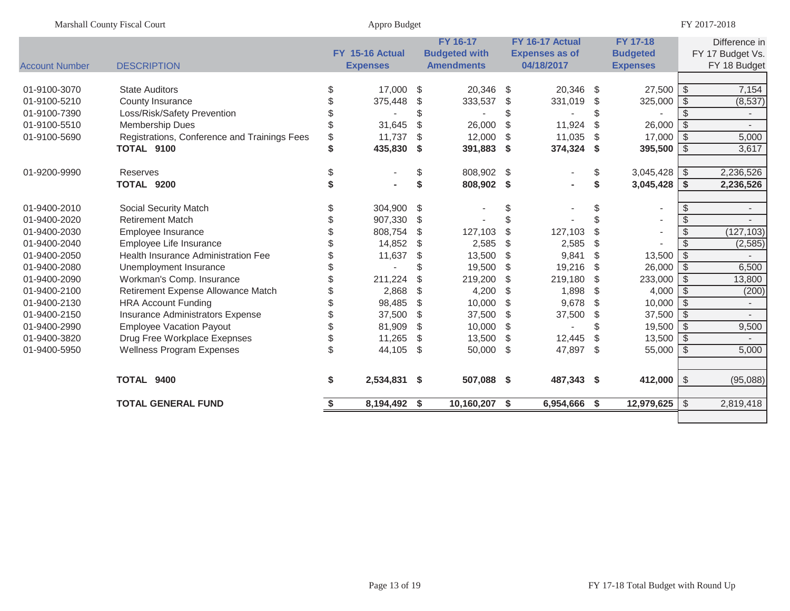| Marshall County Fiscal Court |                                              | Appro Budget |                                    |    |                                                              |     |                                                        |               | FY 2017-2018                                          |               |                                                   |  |  |
|------------------------------|----------------------------------------------|--------------|------------------------------------|----|--------------------------------------------------------------|-----|--------------------------------------------------------|---------------|-------------------------------------------------------|---------------|---------------------------------------------------|--|--|
| <b>Account Number</b>        | <b>DESCRIPTION</b>                           |              | FY 15-16 Actual<br><b>Expenses</b> |    | <b>FY 16-17</b><br><b>Budgeted with</b><br><b>Amendments</b> |     | FY 16-17 Actual<br><b>Expenses as of</b><br>04/18/2017 |               | <b>FY 17-18</b><br><b>Budgeted</b><br><b>Expenses</b> |               | Difference in<br>FY 17 Budget Vs.<br>FY 18 Budget |  |  |
| 01-9100-3070                 | <b>State Auditors</b>                        | \$           | 17,000                             | \$ | 20,346 \$                                                    |     | 20,346                                                 | \$            | $27,500$ \$                                           |               | 7,154                                             |  |  |
| 01-9100-5210                 | County Insurance                             |              | 375,448                            | \$ | 333,537                                                      | -\$ | 331,019                                                | \$            | $325,000$ \$                                          |               | (8,537)                                           |  |  |
| 01-9100-7390                 | Loss/Risk/Safety Prevention                  |              |                                    | \$ |                                                              |     |                                                        | \$            |                                                       | \$            |                                                   |  |  |
| 01-9100-5510                 | Membership Dues                              |              | 31,645                             | \$ | 26,000                                                       | \$  | 11,924                                                 | $\mathcal{L}$ | $26,000$ \$                                           |               |                                                   |  |  |
| 01-9100-5690                 | Registrations, Conference and Trainings Fees | \$           | 11,737                             | \$ | 12,000                                                       | \$  | 11,035                                                 | \$            | $17,000$ \$                                           |               | 5,000                                             |  |  |
|                              | TOTAL 9100                                   | \$           | 435,830                            | \$ | 391,883                                                      | \$  | 374,324                                                | \$            | 395,500 $\frac{1}{3}$                                 |               | 3,617                                             |  |  |
| 01-9200-9990                 | <b>Reserves</b>                              |              |                                    | \$ | 808,902 \$                                                   |     |                                                        | \$            | $3,045,428$ \$                                        |               | 2,236,526                                         |  |  |
|                              | TOTAL 9200                                   |              |                                    | \$ | 808,902 \$                                                   |     |                                                        | \$            | $3,045,428$ \$                                        |               | 2,236,526                                         |  |  |
| 01-9400-2010                 | <b>Social Security Match</b>                 |              | 304,900                            | \$ |                                                              | \$  |                                                        | \$            | $\overline{\phantom{a}}$                              | \$            | $\overline{\phantom{a}}$                          |  |  |
| 01-9400-2020                 | <b>Retirement Match</b>                      |              | 907,330                            | \$ |                                                              |     |                                                        |               | $\blacksquare$                                        | \$            |                                                   |  |  |
| 01-9400-2030                 | Employee Insurance                           |              | 808,754                            | \$ | 127,103                                                      | \$  | 127,103                                                | \$            | $\blacksquare$                                        | $\mathcal{S}$ | (127, 103)                                        |  |  |
| 01-9400-2040                 | Employee Life Insurance                      |              | 14,852                             | \$ | 2,585                                                        | \$  | 2,585                                                  | \$            |                                                       | \$            | (2, 585)                                          |  |  |
| 01-9400-2050                 | <b>Health Insurance Administration Fee</b>   |              | 11,637                             | \$ | 13,500                                                       | \$  | 9,841                                                  | \$            | $13,500$ \$                                           |               |                                                   |  |  |
| 01-9400-2080                 | Unemployment Insurance                       | ß.           |                                    | \$ | 19,500                                                       | \$  | 19,216                                                 | \$            | $26,000$ \$                                           |               | 6,500                                             |  |  |
| 01-9400-2090                 | Workman's Comp. Insurance                    |              | 211,224                            | \$ | 219,200                                                      | \$  | 219,180                                                | \$            | $233,000$ \$                                          |               | 13,800                                            |  |  |
| 01-9400-2100                 | Retirement Expense Allowance Match           |              | 2,868                              | \$ | 4,200                                                        | \$  | 1,898                                                  | \$            | $4,000$ \ \$                                          |               | (200)                                             |  |  |
| 01-9400-2130                 | <b>HRA Account Funding</b>                   |              | 98,485                             | \$ | 10,000                                                       | \$  | 9,678                                                  | \$            | $10,000$ \$                                           |               |                                                   |  |  |
| 01-9400-2150                 | Insurance Administrators Expense             |              | 37,500                             | \$ | 37,500                                                       | \$  | 37,500                                                 | \$            | $37,500$ \$                                           |               |                                                   |  |  |
| 01-9400-2990                 | <b>Employee Vacation Payout</b>              | \$           | 81,909                             | \$ | 10,000                                                       | \$  |                                                        |               | $19,500$ \$                                           |               | 9,500                                             |  |  |
| 01-9400-3820                 | Drug Free Workplace Exepnses                 | \$           | 11,265                             | \$ | 13,500                                                       | \$  | 12,445                                                 | \$            | $13,500$ \$                                           |               |                                                   |  |  |
| 01-9400-5950                 | <b>Wellness Program Expenses</b>             | \$           | 44,105                             | \$ | 50,000                                                       | \$  | 47,897                                                 | \$            | 55,000                                                | -\$           | 5,000                                             |  |  |
|                              | TOTAL 9400                                   | \$           | 2,534,831 \$                       |    | 507,088 \$                                                   |     | 487,343 \$                                             |               | 412,000 $\frac{1}{3}$                                 |               | (95,088)                                          |  |  |
|                              | <b>TOTAL GENERAL FUND</b>                    |              | 8,194,492 \$                       |    | 10,160,207 \$                                                |     | 6,954,666 \$                                           |               | $12,979,625$ \$                                       |               | 2,819,418                                         |  |  |
|                              |                                              |              |                                    |    |                                                              |     |                                                        |               |                                                       |               |                                                   |  |  |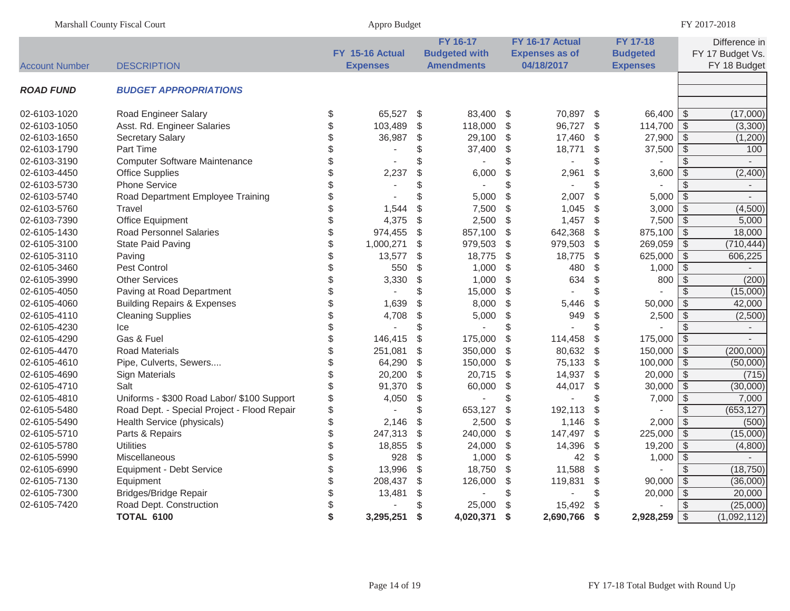| Marshall County Fiscal Court |                                             | Appro Budget                       |                         |                                                              | FY 2017-2018              |                                                        |                         |                                                       |                          |                                                   |  |
|------------------------------|---------------------------------------------|------------------------------------|-------------------------|--------------------------------------------------------------|---------------------------|--------------------------------------------------------|-------------------------|-------------------------------------------------------|--------------------------|---------------------------------------------------|--|
| <b>Account Number</b>        | <b>DESCRIPTION</b>                          | FY 15-16 Actual<br><b>Expenses</b> |                         | <b>FY 16-17</b><br><b>Budgeted with</b><br><b>Amendments</b> |                           | FY 16-17 Actual<br><b>Expenses as of</b><br>04/18/2017 |                         | <b>FY 17-18</b><br><b>Budgeted</b><br><b>Expenses</b> |                          | Difference in<br>FY 17 Budget Vs.<br>FY 18 Budget |  |
| <b>ROAD FUND</b>             | <b>BUDGET APPROPRIATIONS</b>                |                                    |                         |                                                              |                           |                                                        |                         |                                                       |                          |                                                   |  |
| 02-6103-1020                 | <b>Road Engineer Salary</b>                 | \$<br>65,527                       | -\$                     | 83,400                                                       | - \$                      | 70,897                                                 | -\$                     | 66,400 \$                                             |                          | (17,000)                                          |  |
| 02-6103-1050                 | Asst. Rd. Engineer Salaries                 | \$<br>103,489                      | \$                      | 118,000                                                      | \$                        | 96,727                                                 | $\mathcal{L}$           | 114,700                                               | $\sqrt[6]{\frac{1}{2}}$  | (3,300)                                           |  |
| 02-6103-1650                 | <b>Secretary Salary</b>                     | \$<br>36,987                       | \$                      | 29,100                                                       | $\sqrt[6]{3}$             | 17,460                                                 | \$                      | 27,900                                                | $\sqrt{3}$               | (1,200)                                           |  |
| 02-6103-1790                 | <b>Part Time</b>                            | \$<br>$\mathbf{r}$                 | \$                      | 37,400                                                       | \$                        | 18,771                                                 | \$                      | 37,500                                                | $\frac{1}{2}$            | 100                                               |  |
| 02-6103-3190                 | <b>Computer Software Maintenance</b>        | \$                                 | \$                      |                                                              | \$                        |                                                        | \$                      |                                                       | $\sqrt[6]{\frac{1}{2}}$  |                                                   |  |
| 02-6103-4450                 | <b>Office Supplies</b>                      | \$<br>2,237                        | \$                      | 6,000                                                        | $\frac{1}{2}$             | 2,961                                                  | \$                      | 3,600                                                 | $\overline{\mathcal{S}}$ | (2,400)                                           |  |
| 02-6103-5730                 | <b>Phone Service</b>                        | \$                                 | \$                      | $\overline{\phantom{a}}$                                     | \$                        |                                                        | \$                      |                                                       | $\overline{\mathcal{S}}$ |                                                   |  |
| 02-6103-5740                 | Road Department Employee Training           | \$                                 |                         | 5,000                                                        | $\frac{1}{2}$             | 2,007                                                  | \$                      | 5,000                                                 | $\sqrt[6]{\frac{1}{2}}$  |                                                   |  |
| 02-6103-5760                 | Travel                                      | \$<br>1,544                        | \$                      | 7,500                                                        | $\sqrt[6]{\frac{1}{2}}$   | 1,045                                                  | \$                      | 3,000                                                 | $\sqrt[6]{\frac{1}{2}}$  | (4,500)                                           |  |
| 02-6103-7390                 | <b>Office Equipment</b>                     | \$<br>4,375                        | $\frac{1}{2}$           | 2,500                                                        | $\frac{1}{2}$             | 1,457                                                  | $\mathcal{L}$           | 7,500                                                 | $\overline{\mathcal{S}}$ | 5,000                                             |  |
| 02-6105-1430                 | <b>Road Personnel Salaries</b>              | \$<br>974,455                      | \$                      | 857,100                                                      | $\sqrt[6]{3}$             | 642,368                                                | \$                      | 875,100                                               | $\sqrt{3}$               | 18,000                                            |  |
| 02-6105-3100                 | <b>State Paid Paving</b>                    | \$<br>1,000,271                    | $\frac{1}{2}$           | 979,503                                                      | -\$                       | 979,503                                                | \$                      | 269,059                                               | $\overline{\mathcal{S}}$ | (710, 444)                                        |  |
| 02-6105-3110                 | Paving                                      | \$<br>13,577                       | $\frac{1}{2}$           | 18,775                                                       | \$                        | 18,775                                                 | \$                      | 625,000                                               | $\overline{\mathcal{S}}$ | 606,225                                           |  |
| 02-6105-3460                 | Pest Control                                | \$<br>550                          | \$                      | 1,000                                                        | $\boldsymbol{\mathsf{S}}$ | 480                                                    | \$                      | 1,000                                                 | $\sqrt[6]{\frac{1}{2}}$  |                                                   |  |
| 02-6105-3990                 | <b>Other Services</b>                       | \$<br>3,330                        | $\frac{1}{2}$           | 1,000                                                        | $\sqrt[6]{\frac{1}{2}}$   | 634                                                    | \$                      | 800                                                   | $\overline{\$}$          | (200)                                             |  |
| 02-6105-4050                 | Paving at Road Department                   | \$                                 | \$                      | 15,000                                                       | $\boldsymbol{\mathsf{S}}$ |                                                        | \$                      |                                                       | $\overline{\mathcal{S}}$ | (15,000)                                          |  |
| 02-6105-4060                 | <b>Building Repairs &amp; Expenses</b>      | \$<br>1,639                        | \$                      | 8,000                                                        | \$                        | 5,446                                                  | \$                      | 50,000                                                | $\overline{\mathcal{S}}$ | 42,000                                            |  |
| 02-6105-4110                 | <b>Cleaning Supplies</b>                    | \$<br>4,708                        | \$                      | 5,000                                                        | $\frac{1}{2}$             | 949                                                    | \$                      | 2,500                                                 | $\overline{\mathcal{S}}$ | (2,500)                                           |  |
| 02-6105-4230                 | Ice                                         | \$                                 | \$                      |                                                              | \$                        | $\overline{a}$                                         | \$                      |                                                       | $\mathcal{S}$            | $\blacksquare$                                    |  |
| 02-6105-4290                 | Gas & Fuel                                  | \$<br>146,415                      | $\sqrt[6]{\frac{1}{2}}$ | 175,000                                                      | $\sqrt{2}$                | 114,458                                                | \$                      | 175,000                                               | $\overline{\$}$          | $\overline{\phantom{a}}$                          |  |
| 02-6105-4470                 | <b>Road Materials</b>                       | \$<br>251,081                      | $\sqrt[6]{\frac{1}{2}}$ | 350,000                                                      | $\frac{1}{2}$             | 80,632                                                 | \$                      | 150,000                                               | $\sqrt[6]{\frac{1}{2}}$  | (200,000)                                         |  |
| 02-6105-4610                 | Pipe, Culverts, Sewers                      | \$<br>64,290                       | $\sqrt[6]{3}$           | 150,000                                                      | $\sqrt[6]{3}$             | 75,133                                                 | $\sqrt[6]{\frac{1}{2}}$ | 100,000                                               | $\sqrt[6]{\frac{1}{2}}$  | (50,000)                                          |  |
| 02-6105-4690                 | <b>Sign Materials</b>                       | \$<br>20,200                       | $\frac{1}{2}$           | 20,715                                                       | \$                        | 14,937                                                 | $\frac{1}{2}$           | 20,000                                                | $\sqrt{5}$               | (715)                                             |  |
| 02-6105-4710                 | Salt                                        | \$<br>91,370                       | $\frac{1}{2}$           | 60,000                                                       | \$                        | 44,017                                                 | \$                      | 30,000                                                | $\mathfrak{S}$           | (30,000)                                          |  |
| 02-6105-4810                 | Uniforms - \$300 Road Labor/ \$100 Support  | \$<br>4,050                        | \$                      |                                                              | \$                        |                                                        | \$                      | 7,000                                                 | $\sqrt[6]{\frac{1}{2}}$  | 7,000                                             |  |
| 02-6105-5480                 | Road Dept. - Special Project - Flood Repair | \$                                 | \$                      | 653,127                                                      | $\frac{1}{2}$             | 192,113                                                | $\mathcal{L}$           |                                                       | $\overline{\mathcal{S}}$ | (653, 127)                                        |  |
| 02-6105-5490                 | Health Service (physicals)                  | \$<br>2,146                        | \$                      | 2,500                                                        | $\boldsymbol{\mathsf{S}}$ | 1,146                                                  | \$                      | 2,000                                                 | $\overline{\mathcal{S}}$ | (500)                                             |  |
| 02-6105-5710                 | Parts & Repairs                             | \$<br>247,313                      | $\frac{1}{2}$           | 240,000                                                      | \$                        | 147,497                                                | \$                      | 225,000                                               | $\overline{\mathcal{S}}$ | (15,000)                                          |  |
| 02-6105-5780                 | <b>Utilities</b>                            | \$<br>18,855                       | $\frac{1}{2}$           | 24,000                                                       | $\frac{1}{2}$             | 14,396                                                 | $\frac{1}{2}$           | 19,200                                                | $\overline{\mathcal{E}}$ | (4,800)                                           |  |
| 02-6105-5990                 | <b>Miscellaneous</b>                        | \$<br>928                          | \$                      | 1,000                                                        | $\sqrt[6]{3}$             | 42                                                     | \$                      | 1,000                                                 | $\overline{\mathcal{S}}$ |                                                   |  |
| 02-6105-6990                 | Equipment - Debt Service                    | \$<br>13,996                       | $\frac{1}{2}$           | 18,750                                                       | \$                        | 11,588                                                 | \$                      |                                                       | $\overline{\mathcal{S}}$ | (18, 750)                                         |  |
| 02-6105-7130                 | Equipment                                   | \$<br>208,437                      | \$                      | 126,000                                                      | \$                        | 119,831                                                | \$                      | 90,000                                                | $\overline{\mathcal{S}}$ | (36,000)                                          |  |
| 02-6105-7300                 | <b>Bridges/Bridge Repair</b>                | \$<br>13,481                       | $\sqrt[6]{\frac{1}{2}}$ |                                                              | \$                        |                                                        | \$                      | 20,000                                                | $\sqrt[6]{\frac{1}{2}}$  | 20,000                                            |  |
| 02-6105-7420                 | Road Dept. Construction                     | \$                                 | \$                      | 25,000                                                       | \$                        | 15,492                                                 | \$                      |                                                       | $\sqrt[6]{\frac{1}{2}}$  | (25,000)                                          |  |
|                              | <b>TOTAL 6100</b>                           | \$<br>3,295,251                    | \$                      | 4,020,371                                                    | -\$                       | 2,690,766                                              | \$                      | $2,928,259$ \$                                        |                          | (1,092,112)                                       |  |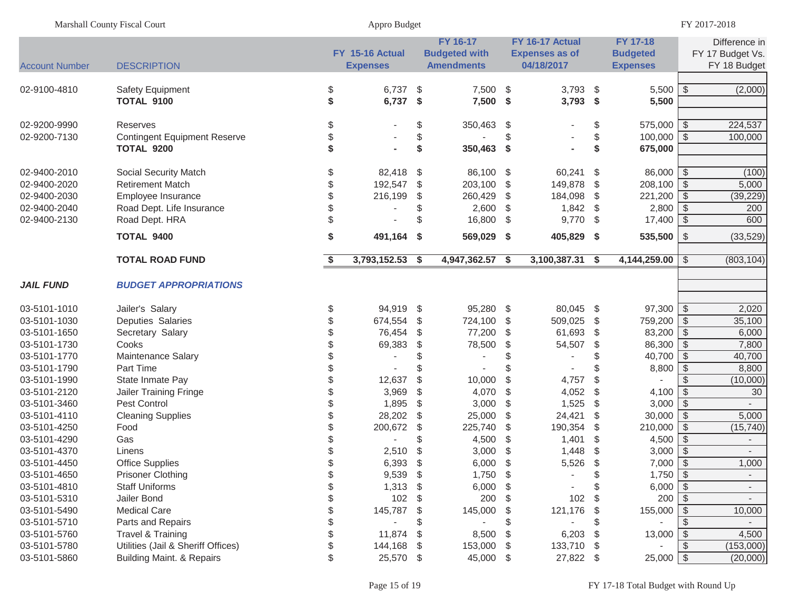| Marshall County Fiscal Court |                                                        |          | Appro Budget                       |               |                                                       | FY 2017-2018  |                                                        |               |                                                |                            |                                                   |
|------------------------------|--------------------------------------------------------|----------|------------------------------------|---------------|-------------------------------------------------------|---------------|--------------------------------------------------------|---------------|------------------------------------------------|----------------------------|---------------------------------------------------|
| <b>Account Number</b>        | <b>DESCRIPTION</b>                                     |          | FY 15-16 Actual<br><b>Expenses</b> |               | FY 16-17<br><b>Budgeted with</b><br><b>Amendments</b> |               | FY 16-17 Actual<br><b>Expenses as of</b><br>04/18/2017 |               | FY 17-18<br><b>Budgeted</b><br><b>Expenses</b> |                            | Difference in<br>FY 17 Budget Vs.<br>FY 18 Budget |
| 02-9100-4810                 | Safety Equipment<br><b>TOTAL 9100</b>                  | \$<br>\$ | $6,737$ \$<br>6,737 \$             |               | 7,500 \$<br>7,500 \$                                  |               | $3,793$ \$<br>$3,793$ \$                               |               | $5,500$ \$<br>5,500                            |                            | (2,000)                                           |
| 02-9200-9990<br>02-9200-7130 | <b>Reserves</b><br><b>Contingent Equipment Reserve</b> | \$       |                                    | \$<br>\$      | 350,463 \$                                            | \$            |                                                        | \$<br>\$      | $575,000$ \$<br>100,000                        | l \$                       | 224,537<br>100,000                                |
|                              | TOTAL 9200                                             |          |                                    | \$            | 350,463 \$                                            |               |                                                        | \$            | 675,000                                        |                            |                                                   |
| 02-9400-2010<br>02-9400-2020 | Social Security Match<br><b>Retirement Match</b>       | \$<br>\$ | 82,418 \$<br>192,547               | $\frac{1}{2}$ | 86,100 \$<br>203,100                                  | $\frac{1}{2}$ | 60,241 \$<br>149,878 \$                                |               | $86,000$ \ \$<br>$208,100$ \$                  |                            | (100)<br>5,000                                    |
| 02-9400-2030                 | Employee Insurance                                     |          | 216,199                            | \$            | 260,429                                               | \$            | 184,098 \$                                             |               | 221,200                                        | $\sqrt{3}$                 | (39, 229)                                         |
| 02-9400-2040                 | Road Dept. Life Insurance                              |          |                                    | \$            | $2,600$ \$                                            |               | $1,842$ \$                                             |               | 2,800                                          | $\sqrt{3}$                 | 200                                               |
| 02-9400-2130                 | Road Dept. HRA                                         |          |                                    | \$            | 16,800 \$                                             |               | $9,770$ \$                                             |               | 17,400                                         | $\vert$ \$                 | 600                                               |
|                              | <b>TOTAL 9400</b>                                      | \$       | 491,164 \$                         |               | 569,029 \$                                            |               | 405,829 \$                                             |               | $535,500$ \ \$                                 |                            | (33, 529)                                         |
|                              | <b>TOTAL ROAD FUND</b>                                 | S        | 3,793,152.53                       | \$            | 4,947,362.57 \$                                       |               | 3,100,387.31 \$                                        |               | 4,144,259.00                                   | \$                         | (803, 104)                                        |
| <b>JAIL FUND</b>             | <b>BUDGET APPROPRIATIONS</b>                           |          |                                    |               |                                                       |               |                                                        |               |                                                |                            |                                                   |
| 03-5101-1010                 | Jailer's Salary                                        | \$       | 94,919 \$                          |               | 95,280 \$                                             |               | 80,045 \$                                              |               | $97,300$ \ \$                                  |                            | 2,020                                             |
| 03-5101-1030                 | Deputies Salaries                                      |          | 674,554                            | \$            | 724,100 \$                                            |               | 509,025                                                | $\mathfrak s$ | 759,200 \$                                     |                            | 35,100                                            |
| 03-5101-1650                 | Secretary Salary                                       |          | 76,454                             | \$            | 77,200                                                | -\$           | 61,693 \$                                              |               | $83,200$ \ \$                                  |                            | 6,000                                             |
| 03-5101-1730                 | Cooks                                                  |          | 69,383                             | \$            | 78,500                                                | \$            | 54,507                                                 | $\frac{1}{2}$ | $86,300$ \ \$                                  |                            | 7,800                                             |
| 03-5101-1770                 | Maintenance Salary                                     |          | ÷,                                 | \$            |                                                       |               | $\blacksquare$                                         | \$            | $40,700$ \$                                    |                            | 40,700                                            |
| 03-5101-1790                 | Part Time                                              |          |                                    |               |                                                       |               |                                                        |               | 8,800                                          | $\vert$ \$<br>$\mathbb{S}$ | 8,800                                             |
| 03-5101-1990<br>03-5101-2120 | State Inmate Pay<br><b>Jailer Training Fringe</b>      |          | 12,637<br>3,969                    | \$<br>\$      | 10,000<br>4,070                                       | \$<br>\$      | 4,757<br>4,052                                         | \$<br>\$      | 4,100 $\sqrt{$}$                               |                            | (10,000)<br>30                                    |
| 03-5101-3460                 | Pest Control                                           |          | 1,895                              | \$            | 3,000                                                 | \$            | 1,525                                                  | -\$           | $3,000$ \$                                     |                            |                                                   |
| 03-5101-4110                 | <b>Cleaning Supplies</b>                               |          | 28,202                             | \$            | 25,000                                                | \$            | 24,421                                                 | \$            | $30,000$ \ \$                                  |                            | 5,000                                             |
| 03-5101-4250                 | Food                                                   |          | 200,672                            | \$            | 225,740                                               | \$            | 190,354                                                | \$            | $210,000$ \$                                   |                            | (15, 740)                                         |
| 03-5101-4290                 | Gas                                                    |          |                                    | \$            | 4,500                                                 | \$            | 1,401                                                  | -\$           | 4,500                                          | l \$                       | $\sim$                                            |
| 03-5101-4370                 | Linens                                                 |          | 2,510                              | \$            | 3,000                                                 |               | 1,448                                                  | \$            | $3,000$ \$                                     |                            | $\sim$                                            |
| 03-5101-4450                 | Office Supplies                                        | \$.      | 6,393                              | \$            | 6,000                                                 | \$            | 5,526                                                  | \$            | $7,000$ \$                                     |                            | 1,000                                             |
| 03-5101-4650                 | <b>Prisoner Clothing</b>                               | \$       | 9,539                              | - \$          | 1,750 \$                                              |               |                                                        | \$            | $1,750$ \$                                     |                            | $\overline{\phantom{a}}$                          |
| 03-5101-4810                 | <b>Staff Uniforms</b>                                  |          | 1,313                              | - \$          | 6,000                                                 | - \$          |                                                        | \$            | $6,000$ \$                                     |                            | $\sim$                                            |
| 03-5101-5310                 | Jailer Bond                                            |          | 102                                | -S            | 200                                                   | S.            | 102                                                    | \$            | 200                                            | \$                         |                                                   |
| 03-5101-5490                 | <b>Medical Care</b>                                    |          | 145,787                            | - \$          | 145,000                                               | S.            | 121,176                                                | - \$          | 155,000                                        | \$                         | 10,000                                            |
| 03-5101-5710                 | Parts and Repairs                                      |          |                                    | \$            |                                                       |               |                                                        |               |                                                | \$                         |                                                   |
| 03-5101-5760                 | Travel & Training                                      |          | 11,874                             | -\$           | 8,500                                                 | -\$           | 6,203                                                  | - \$          | 13,000                                         | \$                         | 4,500                                             |
| 03-5101-5780                 | Utilities (Jail & Sheriff Offices)                     |          | 144,168                            | - \$          | 153,000                                               | - \$          | 133,710 \$                                             |               |                                                | \$                         | (153,000)                                         |
| 03-5101-5860                 | <b>Building Maint. &amp; Repairs</b>                   |          | 25,570 \$                          |               | 45,000 \$                                             |               | 27,822 \$                                              |               | $25,000$ \$                                    |                            | (20,000)                                          |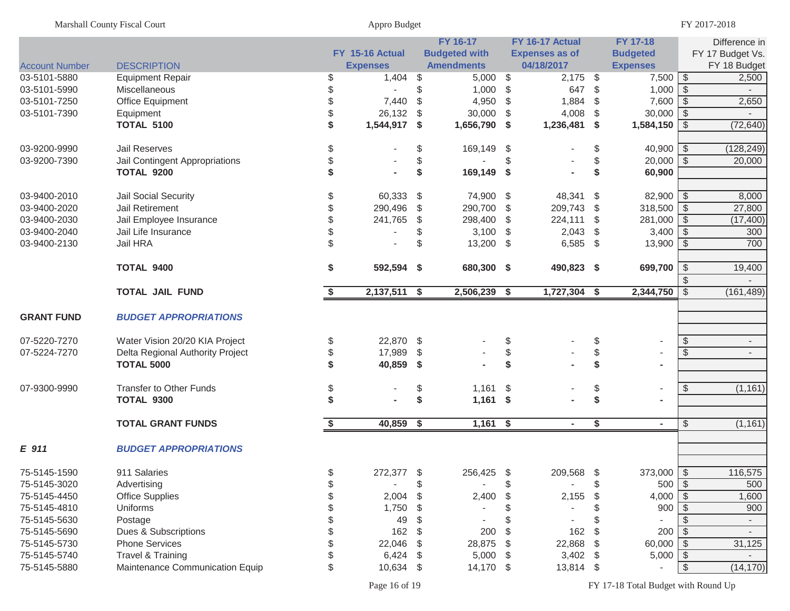| FY 16-17<br>FY 16-17 Actual<br>FY 17-18<br>Difference in<br>FY 15-16 Actual<br><b>Budgeted with</b><br><b>Budgeted</b><br>FY 17 Budget Vs.<br><b>Expenses as of</b><br>04/18/2017<br><b>DESCRIPTION</b><br><b>Expenses</b><br><b>Amendments</b><br><b>Expenses</b><br>FY 18 Budget<br><b>Account Number</b><br>$7,500$ \$<br>03-5101-5880<br><b>Equipment Repair</b><br>1,404<br>$5,000$ \$<br>$2,175$ \$<br>2,500<br>\$<br>\$<br>\$<br>$1,000$ \$<br>\$<br>$1,000$ \$<br>647<br>\$<br>03-5101-5990<br>Miscellaneous<br>$7,600$ \ \$<br>\$<br>7,440<br>\$<br>4,950 $$$<br>1,884<br>\$<br>2,650<br>03-5101-7250<br>Office Equipment<br>\$<br>$30,000$ \$<br>Equipment<br>26,132<br>\$<br>30,000<br>\$<br>4,008<br>\$<br>03-5101-7390<br>\$<br><b>TOTAL 5100</b><br>1,544,917 \$<br>1,656,790 \$<br>1,236,481 \$<br>$1,584,150$ \$<br>(72, 640)<br>03-9200-9990<br>Jail Reserves<br>\$<br>\$<br>$40,900$ \ \$<br>(128, 249)<br>\$<br>169,149 \$<br>\$<br>\$<br>03-9200-7390<br>\$<br>$20,000$ \ \$<br>20,000<br>Jail Contingent Appropriations<br>\$<br>\$<br>\$<br><b>TOTAL 9200</b><br>\$<br>169,149 \$<br>60,900<br>60,333<br>48,341<br>03-9400-2010<br>Jail Social Security<br>\$<br>-\$<br>74,900 \$<br>\$<br>$82,900$ \ \$<br>8,000<br>290,700 \$<br>209,743<br>$318,500$ \$<br>Jail Retirement<br>\$<br>290,496<br>\$<br>27,800<br>03-9400-2020<br>\$<br>281,000 \$<br>Jail Employee Insurance<br>\$<br>241,765<br>\$<br>298,400<br>224,111<br>03-9400-2030<br>-\$<br>\$<br>(17, 400)<br>$3,400$ \$<br>\$<br>$3,100$ \$<br>2,043<br>300<br>03-9400-2040<br>Jail Life Insurance<br>\$<br>\$<br>Jail HRA<br>\$<br>700<br>03-9400-2130<br>\$<br>13,200 \$<br>$6,585$ \$<br>$13,900$ \$<br>\$<br>592,594 \$<br>680,300 \$<br>699,700   \$<br>TOTAL 9400<br>490,823 \$<br>19,400<br><b>TOTAL JAIL FUND</b><br>2,137,511 \$<br>2,506,239 \$<br>1,727,304 \$<br>2,344,750<br>\$<br>(161, 489)<br>\$<br><b>GRANT FUND</b><br><b>BUDGET APPROPRIATIONS</b><br>07-5220-7270<br>22,870 \$<br>\$<br>Water Vision 20/20 KIA Project<br>\$<br>\$<br>\$<br>$\overline{\phantom{a}}$<br>\$<br>\$<br>17,989<br>\$<br>07-5224-7270<br>Delta Regional Authority Project<br>\$<br>\$<br>$\overline{\phantom{a}}$<br>\$<br>\$<br><b>TOTAL 5000</b><br>\$<br>40,859 \$<br>$\blacksquare$<br>(1, 161)<br><b>Transfer to Other Funds</b><br>\$<br>$1,161$ \$<br>\$<br>07-9300-9990<br>\$<br>\$<br>$\overline{\phantom{a}}$<br>\$<br>TOTAL 9300<br>\$<br>$1,161$ \$<br>\$<br>$\blacksquare$<br><b>TOTAL GRANT FUNDS</b><br>40,859 \$<br>$1,161$ \$<br>\$<br>(1, 161)<br>\$<br>\$<br>$\sim$<br>$\sim$<br>E 911<br><b>BUDGET APPROPRIATIONS</b><br>911 Salaries<br>272,377<br>$\sqrt{3}$<br>75-5145-1590<br>256,425<br>209,568<br>$\frac{1}{2}$<br>$373,000$   \$<br>116,575<br>D<br>500<br>75-5145-3020<br>Advertising<br>\$<br>$500$   \$<br>$4,000$ \$<br><b>Office Supplies</b><br>2,004<br>2,400<br>2,155<br>1,600<br>75-5145-4450<br>\$<br>\$<br>1,750<br>900<br>900<br>75-5145-4810<br>Uniforms<br>S<br>- \$<br>49<br>75-5145-5630<br>Postage<br>S<br>S<br>$\overline{\phantom{a}}$<br>200<br>Dues & Subscriptions<br>162<br>\$<br>200<br>162<br>75-5145-5690<br>\$<br>\$<br>- \$<br>$\overline{\phantom{a}}$<br><b>Phone Services</b><br>22,046<br>22,868<br>$60,000$ \$<br>31,125<br>75-5145-5730<br>\$<br>28,875<br>\$<br>\$<br>$5,000$ \$<br>Travel & Training<br>6,424<br>5,000<br>3,402<br>75-5145-5740<br>-S<br>\$<br>- \$<br>10,634<br>14,170 \$<br>75-5145-5880<br>Maintenance Communication Equip<br>13,814 \$<br>$\frac{1}{2}$<br>-\$<br>S | <b>Marshall County Fiscal Court</b> |  | Appro Budget |  | FY 2017-2018 |  |  |  |  |           |
|----------------------------------------------------------------------------------------------------------------------------------------------------------------------------------------------------------------------------------------------------------------------------------------------------------------------------------------------------------------------------------------------------------------------------------------------------------------------------------------------------------------------------------------------------------------------------------------------------------------------------------------------------------------------------------------------------------------------------------------------------------------------------------------------------------------------------------------------------------------------------------------------------------------------------------------------------------------------------------------------------------------------------------------------------------------------------------------------------------------------------------------------------------------------------------------------------------------------------------------------------------------------------------------------------------------------------------------------------------------------------------------------------------------------------------------------------------------------------------------------------------------------------------------------------------------------------------------------------------------------------------------------------------------------------------------------------------------------------------------------------------------------------------------------------------------------------------------------------------------------------------------------------------------------------------------------------------------------------------------------------------------------------------------------------------------------------------------------------------------------------------------------------------------------------------------------------------------------------------------------------------------------------------------------------------------------------------------------------------------------------------------------------------------------------------------------------------------------------------------------------------------------------------------------------------------------------------------------------------------------------------------------------------------------------------------------------------------------------------------------------------------------------------------------------------------------------------------------------------------------------------------------------------------------------------------------------------------------------------------------------------------------------------------------------------------------------------------------------------------------------------------------------------------------------------------------------------------------------------------------------------------------------------------------------------------------------------------------------------------------------------------------------------------------------------------------------------------------------------------------------------------------------------------|-------------------------------------|--|--------------|--|--------------|--|--|--|--|-----------|
|                                                                                                                                                                                                                                                                                                                                                                                                                                                                                                                                                                                                                                                                                                                                                                                                                                                                                                                                                                                                                                                                                                                                                                                                                                                                                                                                                                                                                                                                                                                                                                                                                                                                                                                                                                                                                                                                                                                                                                                                                                                                                                                                                                                                                                                                                                                                                                                                                                                                                                                                                                                                                                                                                                                                                                                                                                                                                                                                                                                                                                                                                                                                                                                                                                                                                                                                                                                                                                                                                                                                        |                                     |  |              |  |              |  |  |  |  |           |
|                                                                                                                                                                                                                                                                                                                                                                                                                                                                                                                                                                                                                                                                                                                                                                                                                                                                                                                                                                                                                                                                                                                                                                                                                                                                                                                                                                                                                                                                                                                                                                                                                                                                                                                                                                                                                                                                                                                                                                                                                                                                                                                                                                                                                                                                                                                                                                                                                                                                                                                                                                                                                                                                                                                                                                                                                                                                                                                                                                                                                                                                                                                                                                                                                                                                                                                                                                                                                                                                                                                                        |                                     |  |              |  |              |  |  |  |  |           |
|                                                                                                                                                                                                                                                                                                                                                                                                                                                                                                                                                                                                                                                                                                                                                                                                                                                                                                                                                                                                                                                                                                                                                                                                                                                                                                                                                                                                                                                                                                                                                                                                                                                                                                                                                                                                                                                                                                                                                                                                                                                                                                                                                                                                                                                                                                                                                                                                                                                                                                                                                                                                                                                                                                                                                                                                                                                                                                                                                                                                                                                                                                                                                                                                                                                                                                                                                                                                                                                                                                                                        |                                     |  |              |  |              |  |  |  |  |           |
|                                                                                                                                                                                                                                                                                                                                                                                                                                                                                                                                                                                                                                                                                                                                                                                                                                                                                                                                                                                                                                                                                                                                                                                                                                                                                                                                                                                                                                                                                                                                                                                                                                                                                                                                                                                                                                                                                                                                                                                                                                                                                                                                                                                                                                                                                                                                                                                                                                                                                                                                                                                                                                                                                                                                                                                                                                                                                                                                                                                                                                                                                                                                                                                                                                                                                                                                                                                                                                                                                                                                        |                                     |  |              |  |              |  |  |  |  |           |
|                                                                                                                                                                                                                                                                                                                                                                                                                                                                                                                                                                                                                                                                                                                                                                                                                                                                                                                                                                                                                                                                                                                                                                                                                                                                                                                                                                                                                                                                                                                                                                                                                                                                                                                                                                                                                                                                                                                                                                                                                                                                                                                                                                                                                                                                                                                                                                                                                                                                                                                                                                                                                                                                                                                                                                                                                                                                                                                                                                                                                                                                                                                                                                                                                                                                                                                                                                                                                                                                                                                                        |                                     |  |              |  |              |  |  |  |  |           |
|                                                                                                                                                                                                                                                                                                                                                                                                                                                                                                                                                                                                                                                                                                                                                                                                                                                                                                                                                                                                                                                                                                                                                                                                                                                                                                                                                                                                                                                                                                                                                                                                                                                                                                                                                                                                                                                                                                                                                                                                                                                                                                                                                                                                                                                                                                                                                                                                                                                                                                                                                                                                                                                                                                                                                                                                                                                                                                                                                                                                                                                                                                                                                                                                                                                                                                                                                                                                                                                                                                                                        |                                     |  |              |  |              |  |  |  |  |           |
|                                                                                                                                                                                                                                                                                                                                                                                                                                                                                                                                                                                                                                                                                                                                                                                                                                                                                                                                                                                                                                                                                                                                                                                                                                                                                                                                                                                                                                                                                                                                                                                                                                                                                                                                                                                                                                                                                                                                                                                                                                                                                                                                                                                                                                                                                                                                                                                                                                                                                                                                                                                                                                                                                                                                                                                                                                                                                                                                                                                                                                                                                                                                                                                                                                                                                                                                                                                                                                                                                                                                        |                                     |  |              |  |              |  |  |  |  |           |
|                                                                                                                                                                                                                                                                                                                                                                                                                                                                                                                                                                                                                                                                                                                                                                                                                                                                                                                                                                                                                                                                                                                                                                                                                                                                                                                                                                                                                                                                                                                                                                                                                                                                                                                                                                                                                                                                                                                                                                                                                                                                                                                                                                                                                                                                                                                                                                                                                                                                                                                                                                                                                                                                                                                                                                                                                                                                                                                                                                                                                                                                                                                                                                                                                                                                                                                                                                                                                                                                                                                                        |                                     |  |              |  |              |  |  |  |  |           |
|                                                                                                                                                                                                                                                                                                                                                                                                                                                                                                                                                                                                                                                                                                                                                                                                                                                                                                                                                                                                                                                                                                                                                                                                                                                                                                                                                                                                                                                                                                                                                                                                                                                                                                                                                                                                                                                                                                                                                                                                                                                                                                                                                                                                                                                                                                                                                                                                                                                                                                                                                                                                                                                                                                                                                                                                                                                                                                                                                                                                                                                                                                                                                                                                                                                                                                                                                                                                                                                                                                                                        |                                     |  |              |  |              |  |  |  |  |           |
|                                                                                                                                                                                                                                                                                                                                                                                                                                                                                                                                                                                                                                                                                                                                                                                                                                                                                                                                                                                                                                                                                                                                                                                                                                                                                                                                                                                                                                                                                                                                                                                                                                                                                                                                                                                                                                                                                                                                                                                                                                                                                                                                                                                                                                                                                                                                                                                                                                                                                                                                                                                                                                                                                                                                                                                                                                                                                                                                                                                                                                                                                                                                                                                                                                                                                                                                                                                                                                                                                                                                        |                                     |  |              |  |              |  |  |  |  |           |
|                                                                                                                                                                                                                                                                                                                                                                                                                                                                                                                                                                                                                                                                                                                                                                                                                                                                                                                                                                                                                                                                                                                                                                                                                                                                                                                                                                                                                                                                                                                                                                                                                                                                                                                                                                                                                                                                                                                                                                                                                                                                                                                                                                                                                                                                                                                                                                                                                                                                                                                                                                                                                                                                                                                                                                                                                                                                                                                                                                                                                                                                                                                                                                                                                                                                                                                                                                                                                                                                                                                                        |                                     |  |              |  |              |  |  |  |  |           |
|                                                                                                                                                                                                                                                                                                                                                                                                                                                                                                                                                                                                                                                                                                                                                                                                                                                                                                                                                                                                                                                                                                                                                                                                                                                                                                                                                                                                                                                                                                                                                                                                                                                                                                                                                                                                                                                                                                                                                                                                                                                                                                                                                                                                                                                                                                                                                                                                                                                                                                                                                                                                                                                                                                                                                                                                                                                                                                                                                                                                                                                                                                                                                                                                                                                                                                                                                                                                                                                                                                                                        |                                     |  |              |  |              |  |  |  |  |           |
|                                                                                                                                                                                                                                                                                                                                                                                                                                                                                                                                                                                                                                                                                                                                                                                                                                                                                                                                                                                                                                                                                                                                                                                                                                                                                                                                                                                                                                                                                                                                                                                                                                                                                                                                                                                                                                                                                                                                                                                                                                                                                                                                                                                                                                                                                                                                                                                                                                                                                                                                                                                                                                                                                                                                                                                                                                                                                                                                                                                                                                                                                                                                                                                                                                                                                                                                                                                                                                                                                                                                        |                                     |  |              |  |              |  |  |  |  |           |
|                                                                                                                                                                                                                                                                                                                                                                                                                                                                                                                                                                                                                                                                                                                                                                                                                                                                                                                                                                                                                                                                                                                                                                                                                                                                                                                                                                                                                                                                                                                                                                                                                                                                                                                                                                                                                                                                                                                                                                                                                                                                                                                                                                                                                                                                                                                                                                                                                                                                                                                                                                                                                                                                                                                                                                                                                                                                                                                                                                                                                                                                                                                                                                                                                                                                                                                                                                                                                                                                                                                                        |                                     |  |              |  |              |  |  |  |  |           |
|                                                                                                                                                                                                                                                                                                                                                                                                                                                                                                                                                                                                                                                                                                                                                                                                                                                                                                                                                                                                                                                                                                                                                                                                                                                                                                                                                                                                                                                                                                                                                                                                                                                                                                                                                                                                                                                                                                                                                                                                                                                                                                                                                                                                                                                                                                                                                                                                                                                                                                                                                                                                                                                                                                                                                                                                                                                                                                                                                                                                                                                                                                                                                                                                                                                                                                                                                                                                                                                                                                                                        |                                     |  |              |  |              |  |  |  |  |           |
|                                                                                                                                                                                                                                                                                                                                                                                                                                                                                                                                                                                                                                                                                                                                                                                                                                                                                                                                                                                                                                                                                                                                                                                                                                                                                                                                                                                                                                                                                                                                                                                                                                                                                                                                                                                                                                                                                                                                                                                                                                                                                                                                                                                                                                                                                                                                                                                                                                                                                                                                                                                                                                                                                                                                                                                                                                                                                                                                                                                                                                                                                                                                                                                                                                                                                                                                                                                                                                                                                                                                        |                                     |  |              |  |              |  |  |  |  |           |
|                                                                                                                                                                                                                                                                                                                                                                                                                                                                                                                                                                                                                                                                                                                                                                                                                                                                                                                                                                                                                                                                                                                                                                                                                                                                                                                                                                                                                                                                                                                                                                                                                                                                                                                                                                                                                                                                                                                                                                                                                                                                                                                                                                                                                                                                                                                                                                                                                                                                                                                                                                                                                                                                                                                                                                                                                                                                                                                                                                                                                                                                                                                                                                                                                                                                                                                                                                                                                                                                                                                                        |                                     |  |              |  |              |  |  |  |  |           |
|                                                                                                                                                                                                                                                                                                                                                                                                                                                                                                                                                                                                                                                                                                                                                                                                                                                                                                                                                                                                                                                                                                                                                                                                                                                                                                                                                                                                                                                                                                                                                                                                                                                                                                                                                                                                                                                                                                                                                                                                                                                                                                                                                                                                                                                                                                                                                                                                                                                                                                                                                                                                                                                                                                                                                                                                                                                                                                                                                                                                                                                                                                                                                                                                                                                                                                                                                                                                                                                                                                                                        |                                     |  |              |  |              |  |  |  |  |           |
|                                                                                                                                                                                                                                                                                                                                                                                                                                                                                                                                                                                                                                                                                                                                                                                                                                                                                                                                                                                                                                                                                                                                                                                                                                                                                                                                                                                                                                                                                                                                                                                                                                                                                                                                                                                                                                                                                                                                                                                                                                                                                                                                                                                                                                                                                                                                                                                                                                                                                                                                                                                                                                                                                                                                                                                                                                                                                                                                                                                                                                                                                                                                                                                                                                                                                                                                                                                                                                                                                                                                        |                                     |  |              |  |              |  |  |  |  |           |
|                                                                                                                                                                                                                                                                                                                                                                                                                                                                                                                                                                                                                                                                                                                                                                                                                                                                                                                                                                                                                                                                                                                                                                                                                                                                                                                                                                                                                                                                                                                                                                                                                                                                                                                                                                                                                                                                                                                                                                                                                                                                                                                                                                                                                                                                                                                                                                                                                                                                                                                                                                                                                                                                                                                                                                                                                                                                                                                                                                                                                                                                                                                                                                                                                                                                                                                                                                                                                                                                                                                                        |                                     |  |              |  |              |  |  |  |  |           |
|                                                                                                                                                                                                                                                                                                                                                                                                                                                                                                                                                                                                                                                                                                                                                                                                                                                                                                                                                                                                                                                                                                                                                                                                                                                                                                                                                                                                                                                                                                                                                                                                                                                                                                                                                                                                                                                                                                                                                                                                                                                                                                                                                                                                                                                                                                                                                                                                                                                                                                                                                                                                                                                                                                                                                                                                                                                                                                                                                                                                                                                                                                                                                                                                                                                                                                                                                                                                                                                                                                                                        |                                     |  |              |  |              |  |  |  |  |           |
|                                                                                                                                                                                                                                                                                                                                                                                                                                                                                                                                                                                                                                                                                                                                                                                                                                                                                                                                                                                                                                                                                                                                                                                                                                                                                                                                                                                                                                                                                                                                                                                                                                                                                                                                                                                                                                                                                                                                                                                                                                                                                                                                                                                                                                                                                                                                                                                                                                                                                                                                                                                                                                                                                                                                                                                                                                                                                                                                                                                                                                                                                                                                                                                                                                                                                                                                                                                                                                                                                                                                        |                                     |  |              |  |              |  |  |  |  |           |
|                                                                                                                                                                                                                                                                                                                                                                                                                                                                                                                                                                                                                                                                                                                                                                                                                                                                                                                                                                                                                                                                                                                                                                                                                                                                                                                                                                                                                                                                                                                                                                                                                                                                                                                                                                                                                                                                                                                                                                                                                                                                                                                                                                                                                                                                                                                                                                                                                                                                                                                                                                                                                                                                                                                                                                                                                                                                                                                                                                                                                                                                                                                                                                                                                                                                                                                                                                                                                                                                                                                                        |                                     |  |              |  |              |  |  |  |  |           |
|                                                                                                                                                                                                                                                                                                                                                                                                                                                                                                                                                                                                                                                                                                                                                                                                                                                                                                                                                                                                                                                                                                                                                                                                                                                                                                                                                                                                                                                                                                                                                                                                                                                                                                                                                                                                                                                                                                                                                                                                                                                                                                                                                                                                                                                                                                                                                                                                                                                                                                                                                                                                                                                                                                                                                                                                                                                                                                                                                                                                                                                                                                                                                                                                                                                                                                                                                                                                                                                                                                                                        |                                     |  |              |  |              |  |  |  |  |           |
|                                                                                                                                                                                                                                                                                                                                                                                                                                                                                                                                                                                                                                                                                                                                                                                                                                                                                                                                                                                                                                                                                                                                                                                                                                                                                                                                                                                                                                                                                                                                                                                                                                                                                                                                                                                                                                                                                                                                                                                                                                                                                                                                                                                                                                                                                                                                                                                                                                                                                                                                                                                                                                                                                                                                                                                                                                                                                                                                                                                                                                                                                                                                                                                                                                                                                                                                                                                                                                                                                                                                        |                                     |  |              |  |              |  |  |  |  |           |
|                                                                                                                                                                                                                                                                                                                                                                                                                                                                                                                                                                                                                                                                                                                                                                                                                                                                                                                                                                                                                                                                                                                                                                                                                                                                                                                                                                                                                                                                                                                                                                                                                                                                                                                                                                                                                                                                                                                                                                                                                                                                                                                                                                                                                                                                                                                                                                                                                                                                                                                                                                                                                                                                                                                                                                                                                                                                                                                                                                                                                                                                                                                                                                                                                                                                                                                                                                                                                                                                                                                                        |                                     |  |              |  |              |  |  |  |  |           |
|                                                                                                                                                                                                                                                                                                                                                                                                                                                                                                                                                                                                                                                                                                                                                                                                                                                                                                                                                                                                                                                                                                                                                                                                                                                                                                                                                                                                                                                                                                                                                                                                                                                                                                                                                                                                                                                                                                                                                                                                                                                                                                                                                                                                                                                                                                                                                                                                                                                                                                                                                                                                                                                                                                                                                                                                                                                                                                                                                                                                                                                                                                                                                                                                                                                                                                                                                                                                                                                                                                                                        |                                     |  |              |  |              |  |  |  |  |           |
|                                                                                                                                                                                                                                                                                                                                                                                                                                                                                                                                                                                                                                                                                                                                                                                                                                                                                                                                                                                                                                                                                                                                                                                                                                                                                                                                                                                                                                                                                                                                                                                                                                                                                                                                                                                                                                                                                                                                                                                                                                                                                                                                                                                                                                                                                                                                                                                                                                                                                                                                                                                                                                                                                                                                                                                                                                                                                                                                                                                                                                                                                                                                                                                                                                                                                                                                                                                                                                                                                                                                        |                                     |  |              |  |              |  |  |  |  |           |
|                                                                                                                                                                                                                                                                                                                                                                                                                                                                                                                                                                                                                                                                                                                                                                                                                                                                                                                                                                                                                                                                                                                                                                                                                                                                                                                                                                                                                                                                                                                                                                                                                                                                                                                                                                                                                                                                                                                                                                                                                                                                                                                                                                                                                                                                                                                                                                                                                                                                                                                                                                                                                                                                                                                                                                                                                                                                                                                                                                                                                                                                                                                                                                                                                                                                                                                                                                                                                                                                                                                                        |                                     |  |              |  |              |  |  |  |  |           |
|                                                                                                                                                                                                                                                                                                                                                                                                                                                                                                                                                                                                                                                                                                                                                                                                                                                                                                                                                                                                                                                                                                                                                                                                                                                                                                                                                                                                                                                                                                                                                                                                                                                                                                                                                                                                                                                                                                                                                                                                                                                                                                                                                                                                                                                                                                                                                                                                                                                                                                                                                                                                                                                                                                                                                                                                                                                                                                                                                                                                                                                                                                                                                                                                                                                                                                                                                                                                                                                                                                                                        |                                     |  |              |  |              |  |  |  |  |           |
|                                                                                                                                                                                                                                                                                                                                                                                                                                                                                                                                                                                                                                                                                                                                                                                                                                                                                                                                                                                                                                                                                                                                                                                                                                                                                                                                                                                                                                                                                                                                                                                                                                                                                                                                                                                                                                                                                                                                                                                                                                                                                                                                                                                                                                                                                                                                                                                                                                                                                                                                                                                                                                                                                                                                                                                                                                                                                                                                                                                                                                                                                                                                                                                                                                                                                                                                                                                                                                                                                                                                        |                                     |  |              |  |              |  |  |  |  |           |
|                                                                                                                                                                                                                                                                                                                                                                                                                                                                                                                                                                                                                                                                                                                                                                                                                                                                                                                                                                                                                                                                                                                                                                                                                                                                                                                                                                                                                                                                                                                                                                                                                                                                                                                                                                                                                                                                                                                                                                                                                                                                                                                                                                                                                                                                                                                                                                                                                                                                                                                                                                                                                                                                                                                                                                                                                                                                                                                                                                                                                                                                                                                                                                                                                                                                                                                                                                                                                                                                                                                                        |                                     |  |              |  |              |  |  |  |  |           |
|                                                                                                                                                                                                                                                                                                                                                                                                                                                                                                                                                                                                                                                                                                                                                                                                                                                                                                                                                                                                                                                                                                                                                                                                                                                                                                                                                                                                                                                                                                                                                                                                                                                                                                                                                                                                                                                                                                                                                                                                                                                                                                                                                                                                                                                                                                                                                                                                                                                                                                                                                                                                                                                                                                                                                                                                                                                                                                                                                                                                                                                                                                                                                                                                                                                                                                                                                                                                                                                                                                                                        |                                     |  |              |  |              |  |  |  |  |           |
|                                                                                                                                                                                                                                                                                                                                                                                                                                                                                                                                                                                                                                                                                                                                                                                                                                                                                                                                                                                                                                                                                                                                                                                                                                                                                                                                                                                                                                                                                                                                                                                                                                                                                                                                                                                                                                                                                                                                                                                                                                                                                                                                                                                                                                                                                                                                                                                                                                                                                                                                                                                                                                                                                                                                                                                                                                                                                                                                                                                                                                                                                                                                                                                                                                                                                                                                                                                                                                                                                                                                        |                                     |  |              |  |              |  |  |  |  |           |
|                                                                                                                                                                                                                                                                                                                                                                                                                                                                                                                                                                                                                                                                                                                                                                                                                                                                                                                                                                                                                                                                                                                                                                                                                                                                                                                                                                                                                                                                                                                                                                                                                                                                                                                                                                                                                                                                                                                                                                                                                                                                                                                                                                                                                                                                                                                                                                                                                                                                                                                                                                                                                                                                                                                                                                                                                                                                                                                                                                                                                                                                                                                                                                                                                                                                                                                                                                                                                                                                                                                                        |                                     |  |              |  |              |  |  |  |  |           |
|                                                                                                                                                                                                                                                                                                                                                                                                                                                                                                                                                                                                                                                                                                                                                                                                                                                                                                                                                                                                                                                                                                                                                                                                                                                                                                                                                                                                                                                                                                                                                                                                                                                                                                                                                                                                                                                                                                                                                                                                                                                                                                                                                                                                                                                                                                                                                                                                                                                                                                                                                                                                                                                                                                                                                                                                                                                                                                                                                                                                                                                                                                                                                                                                                                                                                                                                                                                                                                                                                                                                        |                                     |  |              |  |              |  |  |  |  | (14, 170) |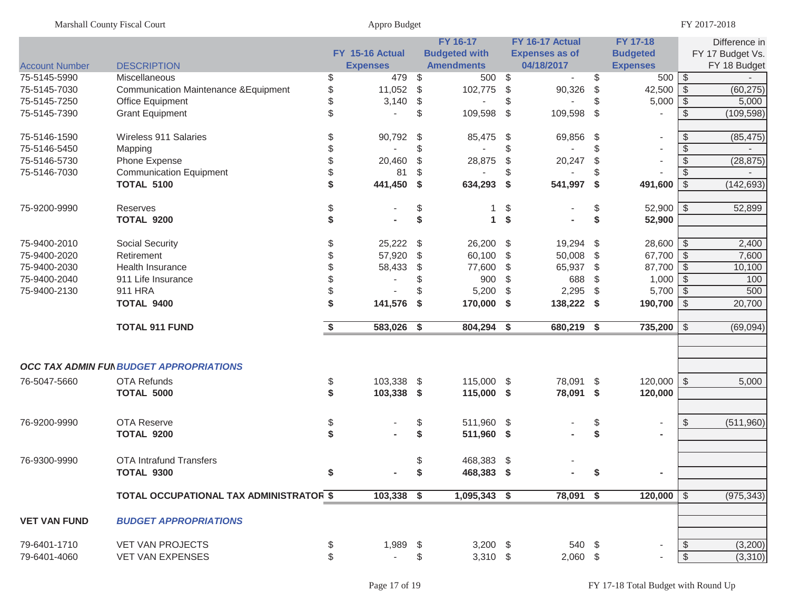|                       | Marshall County Fiscal Court                     |              | Appro Budget    |                           |                      |     |                       |     |                          |               | FY 2017-2018     |  |  |
|-----------------------|--------------------------------------------------|--------------|-----------------|---------------------------|----------------------|-----|-----------------------|-----|--------------------------|---------------|------------------|--|--|
|                       |                                                  |              |                 |                           | FY 16-17             |     | FY 16-17 Actual       |     | FY 17-18                 |               | Difference in    |  |  |
|                       |                                                  |              | FY 15-16 Actual |                           | <b>Budgeted with</b> |     | <b>Expenses as of</b> |     | <b>Budgeted</b>          |               | FY 17 Budget Vs. |  |  |
| <b>Account Number</b> | <b>DESCRIPTION</b>                               |              | <b>Expenses</b> |                           | <b>Amendments</b>    |     | 04/18/2017            |     | <b>Expenses</b>          |               | FY 18 Budget     |  |  |
| 75-5145-5990          | <b>Miscellaneous</b>                             | \$           | 479             | \$                        | 500 \$               |     |                       | \$  |                          |               |                  |  |  |
| 75-5145-7030          | <b>Communication Maintenance &amp; Equipment</b> | \$           | 11,052          | \$                        | 102,775              | -\$ | 90,326                | \$  | 42,500                   | $\sqrt{S}$    | (60, 275)        |  |  |
| 75-5145-7250          | Office Equipment                                 | \$           | 3,140           | \$                        |                      | \$  |                       | \$  | 5,000                    | $\sqrt{3}$    | 5,000            |  |  |
| 75-5145-7390          | <b>Grant Equipment</b>                           | $\mathbb{S}$ | $\overline{a}$  | \$                        | 109,598              | -\$ | 109,598               | \$  |                          | \$            | (109, 598)       |  |  |
| 75-5146-1590          | Wireless 911 Salaries                            | \$           | 90,792          | \$                        | 85,475 \$            |     | 69,856                | \$  | $\overline{\phantom{a}}$ | \$            | (85, 475)        |  |  |
| 75-5146-5450          | Mapping                                          |              |                 | \$                        |                      | \$  |                       | \$  |                          | \$            |                  |  |  |
| 75-5146-5730          | Phone Expense                                    | \$           | 20,460          | \$                        | 28,875               | \$  | 20,247                | \$  | $\blacksquare$           | \$            | (28, 875)        |  |  |
| 75-5146-7030          | <b>Communication Equipment</b>                   |              | 81              | \$                        |                      |     |                       |     |                          | \$            |                  |  |  |
|                       | <b>TOTAL 5100</b>                                | \$           | 441,450         | $\boldsymbol{\mathsf{s}}$ | 634,293              | -\$ | 541,997               | -\$ | 491,600                  | \$            | (142, 693)       |  |  |
| 75-9200-9990          | Reserves                                         | \$           |                 | \$                        | 1                    | \$  |                       | \$  | $52,900$ \ \$            |               | 52,899           |  |  |
|                       | <b>TOTAL 9200</b>                                | \$           |                 | \$                        | $\mathbf{1}$         | \$  |                       | \$  | 52,900                   |               |                  |  |  |
| 75-9400-2010          | Social Security                                  | \$           | 25,222          | \$                        | 26,200 \$            |     | 19,294 \$             |     | $28,600$ \ \$            |               | 2,400            |  |  |
| 75-9400-2020          | Retirement                                       | \$           | 57,920          | \$                        | 60,100               | \$  | 50,008                | -\$ | 67,700 \$                |               | 7,600            |  |  |
| 75-9400-2030          | Health Insurance                                 | \$           | 58,433          | \$                        | 77,600               | \$  | 65,937                | \$  | 87,700   \$              |               | 10,100           |  |  |
| 75-9400-2040          | 911 Life Insurance                               |              |                 | \$                        | 900                  | \$  | 688                   | \$  | $1,000$ \$               |               | 100              |  |  |
| 75-9400-2130          | 911 HRA                                          | \$           |                 | \$                        | 5,200                | \$  | 2,295                 | \$  | $5,700$ \$               |               | 500              |  |  |
|                       | <b>TOTAL 9400</b>                                | \$           | 141,576         | -\$                       | 170,000              | -\$ | 138,222 \$            |     | 190,700 $\sqrt{3}$       |               | 20,700           |  |  |
|                       | <b>TOTAL 911 FUND</b>                            | \$           | 583,026 \$      |                           | 804,294 \$           |     | 680,219 \$            |     | 735,200                  | $\sqrt{3}$    | (69,094)         |  |  |
|                       |                                                  |              |                 |                           |                      |     |                       |     |                          |               |                  |  |  |
|                       | OCC TAX ADMIN FUI BUDGET APPROPRIATIONS          |              |                 |                           |                      |     |                       |     |                          |               |                  |  |  |
| 76-5047-5660          | <b>OTA Refunds</b>                               |              | 103,338         |                           | 115,000 \$           |     | 78,091 \$             |     | $120,000$ \$             |               | 5,000            |  |  |
|                       | <b>TOTAL 5000</b>                                | \$<br>\$     | 103,338 \$      | -\$                       | 115,000 \$           |     | 78,091 \$             |     |                          |               |                  |  |  |
|                       |                                                  |              |                 |                           |                      |     |                       |     | 120,000                  |               |                  |  |  |
| 76-9200-9990          | <b>OTA Reserve</b>                               | \$           |                 | \$                        | 511,960 \$           |     |                       | \$  | $\overline{\phantom{a}}$ | $\frac{1}{2}$ | (511,960)        |  |  |
|                       | <b>TOTAL 9200</b>                                | \$           |                 | \$                        | 511,960 \$           |     |                       | \$  | ٠                        |               |                  |  |  |
| 76-9300-9990          | <b>OTA Intrafund Transfers</b>                   |              |                 | \$                        | 468,383 \$           |     |                       |     |                          |               |                  |  |  |
|                       | TOTAL 9300                                       | \$           | $\blacksquare$  | \$                        | 468,383 \$           |     |                       | \$  | $\blacksquare$           |               |                  |  |  |
|                       |                                                  |              |                 |                           |                      |     |                       |     |                          |               |                  |  |  |
|                       | TOTAL OCCUPATIONAL TAX ADMINISTRATOR \$          |              | $103,338$ \$    |                           | 1,095,343 \$         |     | 78,091 \$             |     | $120,000$   \$           |               | (975, 343)       |  |  |
| <b>VET VAN FUND</b>   | <b>BUDGET APPROPRIATIONS</b>                     |              |                 |                           |                      |     |                       |     |                          |               |                  |  |  |
| 79-6401-1710          | <b>VET VAN PROJECTS</b>                          | \$           | 1,989 \$        |                           | $3,200$ \$           |     | 540 \$                |     |                          | - \$          | (3,200)          |  |  |
| 79-6401-4060          | VET VAN EXPENSES                                 | \$           | $\sim$          | \$                        | $3,310$ \$           |     | $2,060$ \$            |     |                          | $\sqrt{5}$    | (3,310)          |  |  |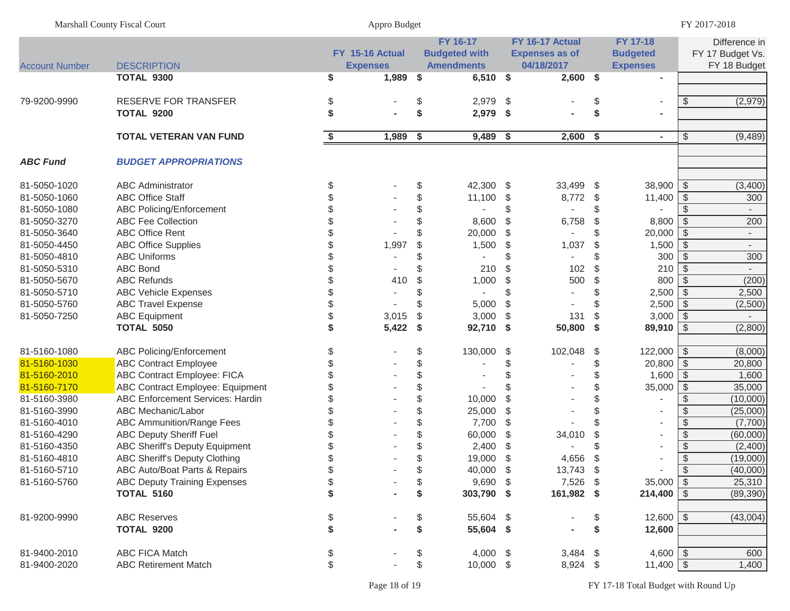| <b>Marshall County Fiscal Court</b> | Appro Budget | FY 2017-2018 |
|-------------------------------------|--------------|--------------|
|                                     |              |              |

|                       |                                       |    | FY 15-16 Actual | <b>FY 16-17</b><br><b>Budgeted with</b> |     | FY 16-17 Actual<br><b>Expenses as of</b> |     | <b>FY 17-18</b><br><b>Budgeted</b> |                          | Difference in<br>FY 17 Budget Vs. |
|-----------------------|---------------------------------------|----|-----------------|-----------------------------------------|-----|------------------------------------------|-----|------------------------------------|--------------------------|-----------------------------------|
| <b>Account Number</b> | <b>DESCRIPTION</b>                    |    | <b>Expenses</b> | <b>Amendments</b>                       |     | 04/18/2017                               |     | <b>Expenses</b>                    |                          | FY 18 Budget                      |
|                       | TOTAL 9300                            | \$ | 1,989           | \$<br>$6,510$ \$                        |     | $2,600$ \$                               |     |                                    |                          |                                   |
| 79-9200-9990          | <b>RESERVE FOR TRANSFER</b>           | \$ |                 | \$<br>2,979                             | \$  |                                          | \$  | $\overline{\phantom{a}}$           | \$                       | (2,979)                           |
|                       | <b>TOTAL 9200</b>                     | \$ |                 | \$<br>2,979                             | \$  |                                          | \$  |                                    |                          |                                   |
|                       |                                       |    |                 |                                         |     |                                          |     |                                    |                          |                                   |
|                       | <b>TOTAL VETERAN VAN FUND</b>         | \$ | 1,989           | \$<br>9,489                             | \$  | $2,600\quad$ \$                          |     | $\sim$                             | \$                       | (9, 489)                          |
| <b>ABC Fund</b>       | <b>BUDGET APPROPRIATIONS</b>          |    |                 |                                         |     |                                          |     |                                    |                          |                                   |
| 81-5050-1020          | <b>ABC Administrator</b>              | \$ |                 | \$<br>42,300                            | \$  | 33,499 \$                                |     | 38,900                             | $\sqrt{ }$               | (3,400)                           |
| 81-5050-1060          | <b>ABC Office Staff</b>               |    |                 | \$<br>11,100                            | \$  | 8,772                                    | \$  | 11,400                             | l \$                     | 300                               |
| 81-5050-1080          | <b>ABC Policing/Enforcement</b>       |    |                 | \$                                      | \$  |                                          |     |                                    | \$                       |                                   |
| 81-5050-3270          | <b>ABC Fee Collection</b>             |    |                 | 8,600                                   | \$  | 6,758                                    | \$  | 8,800                              | \$                       | 200                               |
| 81-5050-3640          | <b>ABC Office Rent</b>                |    |                 | 20,000                                  | \$  |                                          |     | 20,000                             | \$                       |                                   |
| 81-5050-4450          | <b>ABC Office Supplies</b>            |    | 1,997           | \$<br>1,500                             | \$  | 1,037                                    | \$  | 1,500                              | \$                       |                                   |
| 81-5050-4810          | <b>ABC Uniforms</b>                   |    |                 |                                         | \$  |                                          |     | 300                                | - \$                     | 300                               |
| 81-5050-5310          | <b>ABC Bond</b>                       |    |                 | 210                                     | \$  | 102                                      | \$. | 210                                | - \$                     |                                   |
| 81-5050-5670          | <b>ABC Refunds</b>                    |    | 410             | \$<br>1,000                             | \$  | 500                                      | \$  | 800                                | - \$                     | (200)                             |
| 81-5050-5710          | <b>ABC Vehicle Expenses</b>           |    |                 |                                         | \$  |                                          |     | 2,500                              | l \$                     | 2,500                             |
| 81-5050-5760          | <b>ABC Travel Expense</b>             |    |                 | 5,000                                   | \$  |                                          |     | 2,500                              | $\sqrt{3}$               | (2,500)                           |
| 81-5050-7250          | <b>ABC Equipment</b>                  |    | 3,015           | \$<br>3,000                             | \$  | 131                                      | \$  | 3,000                              | l \$                     |                                   |
|                       | <b>TOTAL 5050</b>                     |    | 5,422           | \$<br>92,710                            | -\$ | 50,800                                   | -\$ | $89,910$ \$                        |                          | (2,800)                           |
| 81-5160-1080          | <b>ABC Policing/Enforcement</b>       | \$ |                 | \$<br>130,000                           | \$  | 102,048                                  | \$  | $122,000$ \$                       |                          | (8,000)                           |
| 81-5160-1030          | <b>ABC Contract Employee</b>          |    |                 | \$                                      | \$  |                                          | \$  | $20,800$ \$                        |                          | 20,800                            |
| 81-5160-2010          | ABC Contract Employee: FICA           |    |                 | \$                                      | \$  |                                          | \$  | 1,600                              | $\sqrt{ }$               | 1,600                             |
| 81-5160-7170          | ABC Contract Employee: Equipment      |    |                 | \$                                      | \$  |                                          |     | 35,000                             | $\sqrt{ }$               | 35,000                            |
| 81-5160-3980          | ABC Enforcement Services: Hardin      |    |                 | \$<br>10,000                            | \$  |                                          |     |                                    | -\$                      | (10,000)                          |
| 81-5160-3990          | ABC Mechanic/Labor                    |    |                 | \$<br>25,000                            | \$  |                                          |     |                                    | \$                       | (25,000)                          |
| 81-5160-4010          | <b>ABC Ammunition/Range Fees</b>      |    |                 | \$<br>7,700                             | \$  |                                          |     |                                    | $\sqrt[6]{3}$            | (7,700)                           |
| 81-5160-4290          | <b>ABC Deputy Sheriff Fuel</b>        |    |                 | \$<br>60,000                            | \$  | 34,010                                   |     | $\blacksquare$                     | $\overline{\mathcal{S}}$ | (60,000)                          |
| 81-5160-4350          | <b>ABC Sheriff's Deputy Equipment</b> |    |                 | 2,400                                   | \$  |                                          |     | $\sim$                             | \$                       | (2,400)                           |
| 81-5160-4810          | <b>ABC Sheriff's Deputy Clothing</b>  |    |                 | 19,000                                  | \$  | 4,656                                    |     |                                    | \$                       | (19,000)                          |
| 81-5160-5710          | ABC Auto/Boat Parts & Repairs         |    |                 | 40,000                                  | \$  | 13,743                                   | \$  |                                    | \$                       | (40,000)                          |
| 81-5160-5760          | <b>ABC Deputy Training Expenses</b>   | Φ  |                 | $9,690$ \$                              |     | 7,526 \$                                 |     | $35,000$ \$                        |                          | 25,310                            |
|                       | <b>TOTAL 5160</b>                     | \$ |                 | \$<br>303,790 \$                        |     | 161,982 \$                               |     | $214,400$ \ \$                     |                          | (89, 390)                         |
| 81-9200-9990          | <b>ABC Reserves</b>                   | \$ |                 | \$<br>55,604 \$                         |     |                                          | \$  | $12,600$ \$                        |                          | (43,004)                          |
|                       | <b>TOTAL 9200</b>                     | \$ |                 | \$<br>55,604 \$                         |     |                                          | \$  | 12,600                             |                          |                                   |
| 81-9400-2010          | ABC FICA Match                        | \$ |                 | \$<br>4,000 $$$                         |     | $3,484$ \$                               |     | 4,600 $\frac{1}{9}$                |                          | 600                               |
| 81-9400-2020          | <b>ABC Retirement Match</b>           | \$ |                 | \$<br>$10,000$ \$                       |     | 8,924 \$                                 |     | $11,400$ \$                        |                          | 1,400                             |